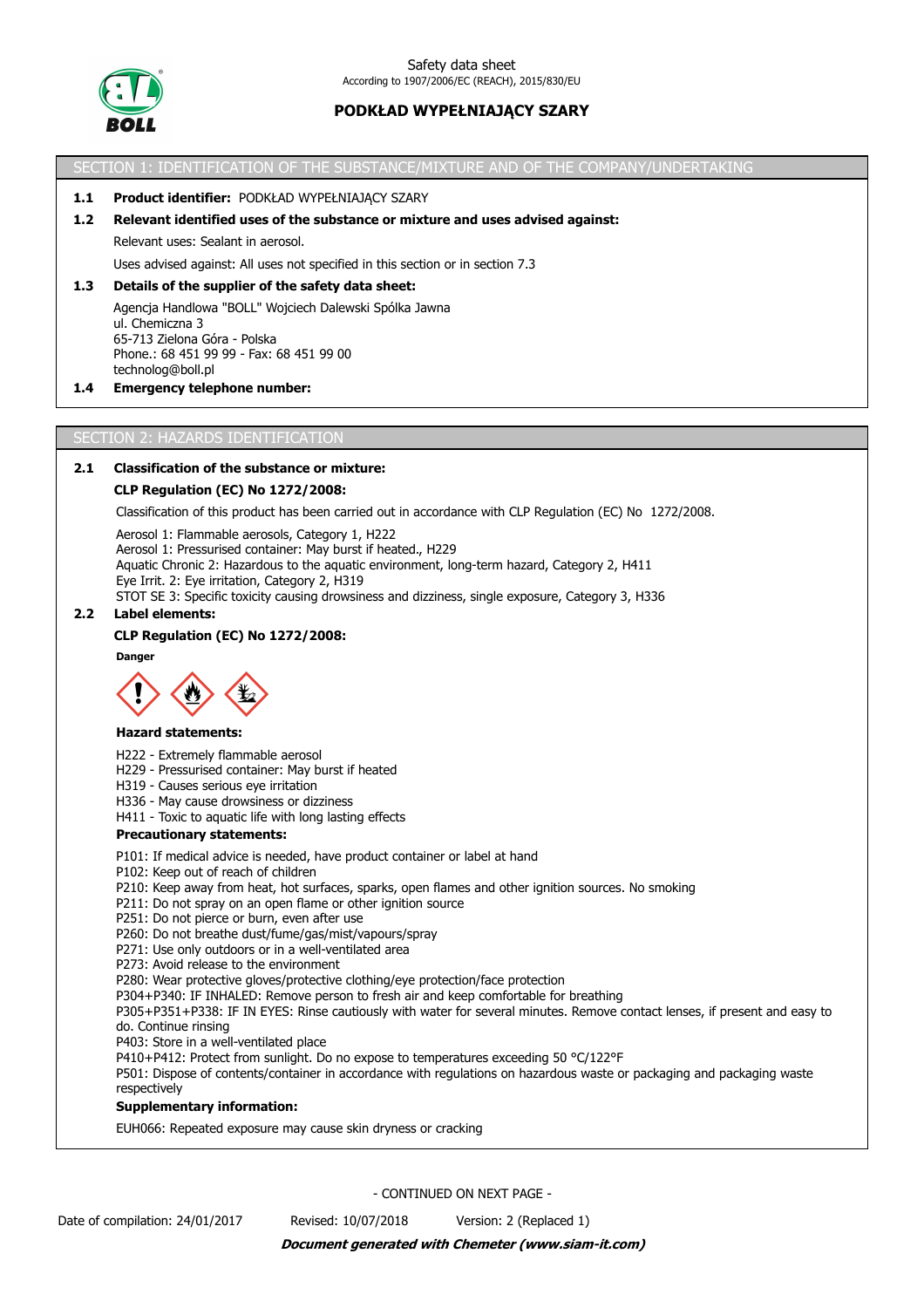

SECTION 1: IDENTIFICATION OF THE SUBSTANCE/MIXTURE AND OF THE COMPANY/UNDERTAKING

#### **1.1 Product identifier:** PODKŁAD WYPEŁNIAJĄCY SZARY

#### **1.2 Relevant identified uses of the substance or mixture and uses advised against:**

Relevant uses: Sealant in aerosol.

Uses advised against: All uses not specified in this section or in section 7.3

## **1.3 Details of the supplier of the safety data sheet:**

Agencja Handlowa "BOLL" Wojciech Dalewski Spólka Jawna ul. Chemiczna 3 65-713 Zielona Góra - Polska Phone.: 68 451 99 99 - Fax: 68 451 99 00 technolog@boll.pl

#### **1.4 Emergency telephone number:**

SECTION 2: HAZARDS IDENTIFICATION

# **2.1 Classification of the substance or mixture:**

#### **CLP Regulation (EC) No 1272/2008:**

Classification of this product has been carried out in accordance with CLP Regulation (EC) No 1272/2008.

Aerosol 1: Flammable aerosols, Category 1, H222 Aerosol 1: Pressurised container: May burst if heated., H229 Aquatic Chronic 2: Hazardous to the aquatic environment, long-term hazard, Category 2, H411 Eye Irrit. 2: Eye irritation, Category 2, H319 STOT SE 3: Specific toxicity causing drowsiness and dizziness, single exposure, Category 3, H336

#### **2.2 Label elements:**

#### **CLP Regulation (EC) No 1272/2008:**

**Danger**



#### **Hazard statements:**

H222 - Extremely flammable aerosol

- H229 Pressurised container: May burst if heated
- H319 Causes serious eye irritation
- H336 May cause drowsiness or dizziness
- H411 Toxic to aquatic life with long lasting effects

#### **Precautionary statements:**

- P101: If medical advice is needed, have product container or label at hand
- P102: Keep out of reach of children
- P210: Keep away from heat, hot surfaces, sparks, open flames and other ignition sources. No smoking
- P211: Do not spray on an open flame or other ignition source
- P251: Do not pierce or burn, even after use
- P260: Do not breathe dust/fume/gas/mist/vapours/spray
- P271: Use only outdoors or in a well-ventilated area

P273: Avoid release to the environment

- P280: Wear protective gloves/protective clothing/eye protection/face protection
- P304+P340: IF INHALED: Remove person to fresh air and keep comfortable for breathing

P305+P351+P338: IF IN EYES: Rinse cautiously with water for several minutes. Remove contact lenses, if present and easy to do. Continue rinsing

P403: Store in a well-ventilated place

P410+P412: Protect from sunlight. Do no expose to temperatures exceeding 50 °C/122°F

P501: Dispose of contents/container in accordance with regulations on hazardous waste or packaging and packaging waste respectively

#### **Supplementary information:**

EUH066: Repeated exposure may cause skin dryness or cracking

- CONTINUED ON NEXT PAGE -

Date of compilation: 24/01/2017 Revised: 10/07/2018 Version: 2 (Replaced 1)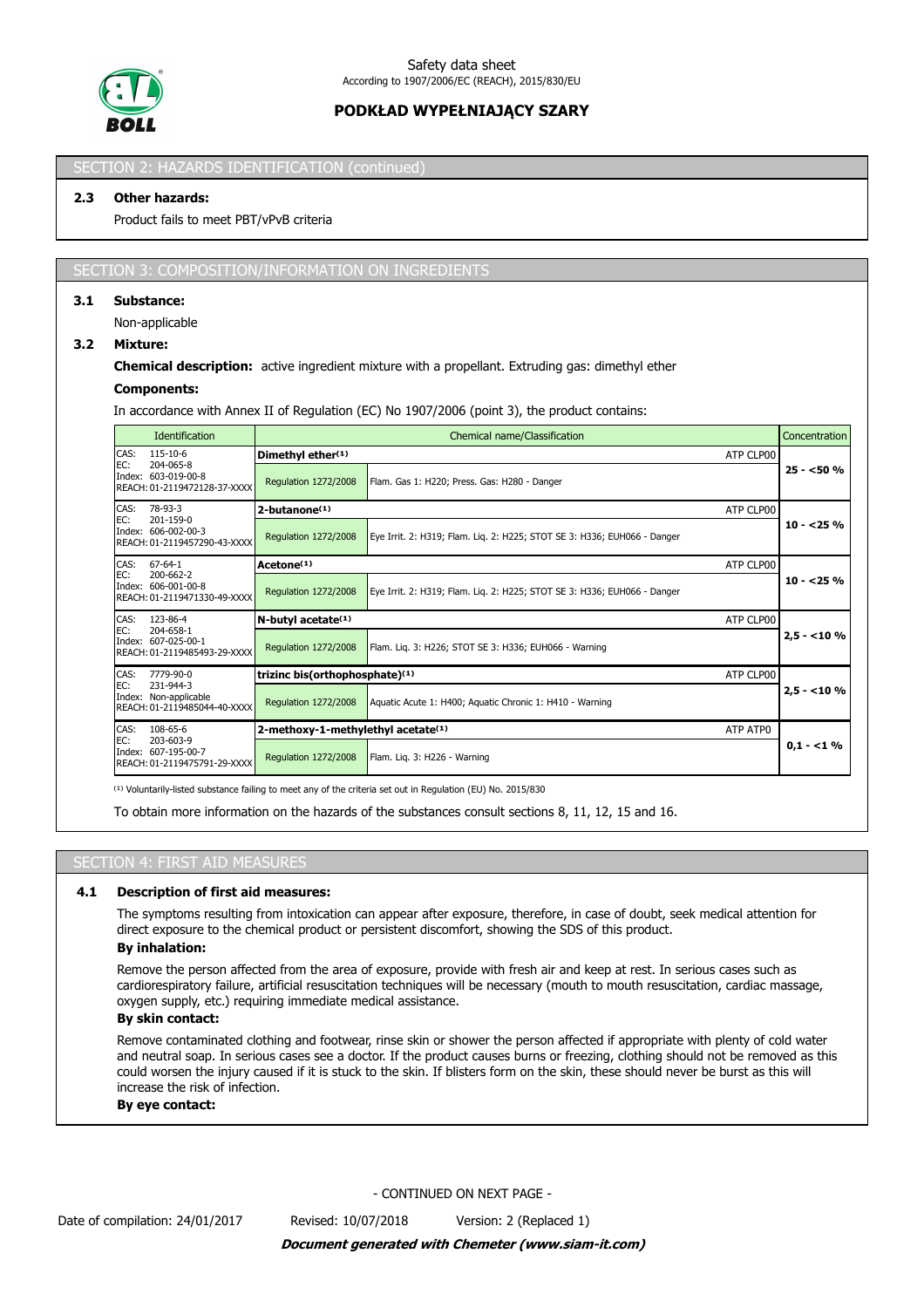

# SECTION 2: HAZARDS IDENTIFICATION (continued

### **2.3 Other hazards:**

Product fails to meet PBT/vPvB criteria

#### SECTION 3: COMPOSITION/INFORMATION ON INGREDIENTS

#### **3.1 Substance:**

Non-applicable

## **3.2 Mixture:**

#### **Chemical description:** active ingredient mixture with a propellant. Extruding gas: dimethyl ether

#### **Components:**

In accordance with Annex II of Regulation (EC) No 1907/2006 (point 3), the product contains:

|                                                                         | <b>Identification</b>                                                       |                                    | Chemical name/Classification                                             |             |  |  |  |
|-------------------------------------------------------------------------|-----------------------------------------------------------------------------|------------------------------------|--------------------------------------------------------------------------|-------------|--|--|--|
| CAS:<br>115-10-6<br>204-065-8                                           |                                                                             | Dimethyl ether(1)                  | ATP CLP00                                                                |             |  |  |  |
| EC:                                                                     | Index: 603-019-00-8<br>Regulation 1272/2008<br>REACH: 01-2119472128-37-XXXX |                                    | Flam. Gas 1: H220; Press. Gas: H280 - Danger                             | $25 - 50%$  |  |  |  |
| CAS:                                                                    | 78-93-3                                                                     | 2-butanone <sup>(1)</sup>          | ATP CLP00                                                                |             |  |  |  |
| EC:<br>201-159-0<br>Index: 606-002-00-3<br>REACH: 01-2119457290-43-XXXX |                                                                             | <b>Regulation 1272/2008</b>        | Eye Irrit. 2: H319; Flam. Lig. 2: H225; STOT SE 3: H336; EUH066 - Danger | $10 - 25%$  |  |  |  |
| CAS:                                                                    | $67 - 64 - 1$                                                               | Acetone <sup>(1)</sup>             | ATP CLP00                                                                |             |  |  |  |
| EC:<br>200-662-2<br>Index: 606-001-00-8<br>REACH: 01-2119471330-49-XXXX |                                                                             | Regulation 1272/2008               | Eye Irrit. 2: H319; Flam. Lig. 2: H225; STOT SE 3: H336; EUH066 - Danger | $10 - 25%$  |  |  |  |
| CAS:                                                                    | 123-86-4                                                                    | N-butyl acetate <sup>(1)</sup>     | ATP CLP00                                                                |             |  |  |  |
| EC:                                                                     | 204-658-1<br>Index: 607-025-00-1<br>REACH: 01-2119485493-29-XXXX            | Regulation 1272/2008               | Flam. Lig. 3: H226; STOT SE 3: H336; EUH066 - Warning                    | $2,5 - 10%$ |  |  |  |
| CAS:                                                                    | 7779-90-0                                                                   | trizinc bis(orthophosphate)(1)     | ATP CLP00                                                                |             |  |  |  |
| EC:                                                                     | 231-944-3<br>Index: Non-applicable<br>REACH: 01-2119485044-40-XXXX          | Regulation 1272/2008               | Aquatic Acute 1: H400; Aquatic Chronic 1: H410 - Warning                 | $2.5 - 10%$ |  |  |  |
| CAS:                                                                    | 108-65-6                                                                    | 2-methoxy-1-methylethyl acetate(1) | ATP ATPO                                                                 |             |  |  |  |
| EC:                                                                     | 203-603-9<br>Index: 607-195-00-7<br>REACH: 01-2119475791-29-XXXX            | Regulation 1272/2008               | Flam. Lig. 3: H226 - Warning                                             | $0.1 - 1\%$ |  |  |  |

<sup>(1)</sup> Voluntarily-listed substance failing to meet any of the criteria set out in Regulation (EU) No. 2015/830

To obtain more information on the hazards of the substances consult sections 8, 11, 12, 15 and 16.

### SECTION 4: FIRST AID MEASURES

#### **4.1 Description of first aid measures:**

The symptoms resulting from intoxication can appear after exposure, therefore, in case of doubt, seek medical attention for direct exposure to the chemical product or persistent discomfort, showing the SDS of this product.

### **By inhalation:**

Remove the person affected from the area of exposure, provide with fresh air and keep at rest. In serious cases such as cardiorespiratory failure, artificial resuscitation techniques will be necessary (mouth to mouth resuscitation, cardiac massage, oxygen supply, etc.) requiring immediate medical assistance.

#### **By skin contact:**

Remove contaminated clothing and footwear, rinse skin or shower the person affected if appropriate with plenty of cold water and neutral soap. In serious cases see a doctor. If the product causes burns or freezing, clothing should not be removed as this could worsen the injury caused if it is stuck to the skin. If blisters form on the skin, these should never be burst as this will increase the risk of infection.

#### **By eye contact:**

- CONTINUED ON NEXT PAGE -

*Document generated with Chemeter (www.siam-it.com)*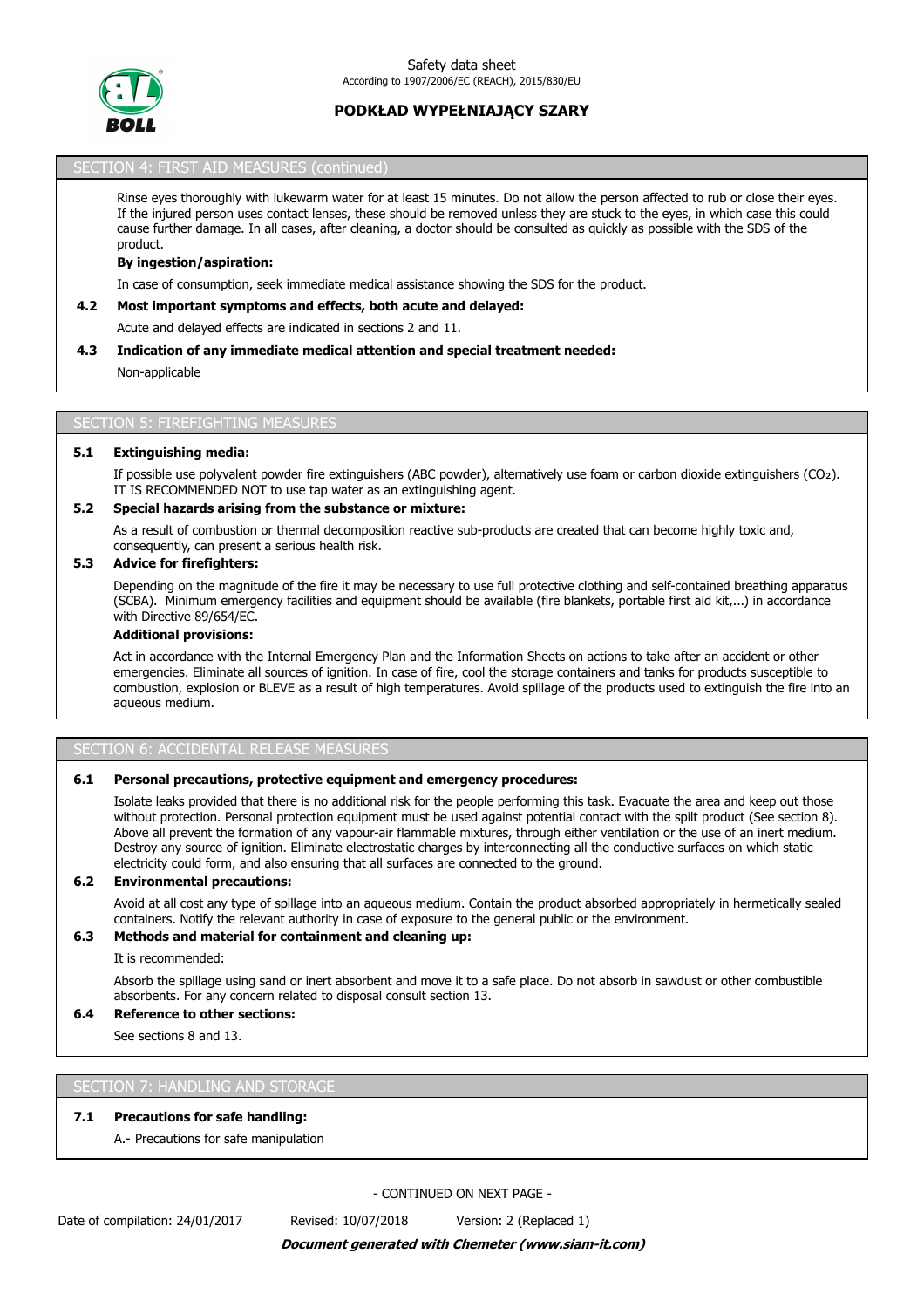

## SECTION 4: FIRST AID MEASURES (continued)

Rinse eyes thoroughly with lukewarm water for at least 15 minutes. Do not allow the person affected to rub or close their eyes. If the injured person uses contact lenses, these should be removed unless they are stuck to the eyes, in which case this could cause further damage. In all cases, after cleaning, a doctor should be consulted as quickly as possible with the SDS of the product.

#### **By ingestion/aspiration:**

In case of consumption, seek immediate medical assistance showing the SDS for the product.

#### **4.2 Most important symptoms and effects, both acute and delayed:**

Acute and delayed effects are indicated in sections 2 and 11.

#### **4.3 Indication of any immediate medical attention and special treatment needed:**

Non-applicable

#### SECTION 5: FIREFIGHTING MEASURES

#### **5.1 Extinguishing media:**

If possible use polyvalent powder fire extinguishers (ABC powder), alternatively use foam or carbon dioxide extinguishers (CO₂). IT IS RECOMMENDED NOT to use tap water as an extinguishing agent.

## **5.2 Special hazards arising from the substance or mixture:**

As a result of combustion or thermal decomposition reactive sub-products are created that can become highly toxic and, consequently, can present a serious health risk.

## **5.3 Advice for firefighters:**

Depending on the magnitude of the fire it may be necessary to use full protective clothing and self-contained breathing apparatus (SCBA). Minimum emergency facilities and equipment should be available (fire blankets, portable first aid kit,...) in accordance with Directive 89/654/EC.

#### **Additional provisions:**

Act in accordance with the Internal Emergency Plan and the Information Sheets on actions to take after an accident or other emergencies. Eliminate all sources of ignition. In case of fire, cool the storage containers and tanks for products susceptible to combustion, explosion or BLEVE as a result of high temperatures. Avoid spillage of the products used to extinguish the fire into an aqueous medium.

#### SECTION 6: ACCIDENTAL RELEASE MEASURES

#### **6.1 Personal precautions, protective equipment and emergency procedures:**

Isolate leaks provided that there is no additional risk for the people performing this task. Evacuate the area and keep out those without protection. Personal protection equipment must be used against potential contact with the spilt product (See section 8). Above all prevent the formation of any vapour-air flammable mixtures, through either ventilation or the use of an inert medium. Destroy any source of ignition. Eliminate electrostatic charges by interconnecting all the conductive surfaces on which static electricity could form, and also ensuring that all surfaces are connected to the ground.

### **6.2 Environmental precautions:**

Avoid at all cost any type of spillage into an aqueous medium. Contain the product absorbed appropriately in hermetically sealed containers. Notify the relevant authority in case of exposure to the general public or the environment.

#### **6.3 Methods and material for containment and cleaning up:**

It is recommended:

Absorb the spillage using sand or inert absorbent and move it to a safe place. Do not absorb in sawdust or other combustible absorbents. For any concern related to disposal consult section 13.

#### **6.4 Reference to other sections:**

See sections 8 and 13.

#### SECTION 7: HANDLING AND STORAGE

#### **7.1 Precautions for safe handling:**

A.- Precautions for safe manipulation

- CONTINUED ON NEXT PAGE -

Date of compilation: 24/01/2017 Revised: 10/07/2018 Version: 2 (Replaced 1)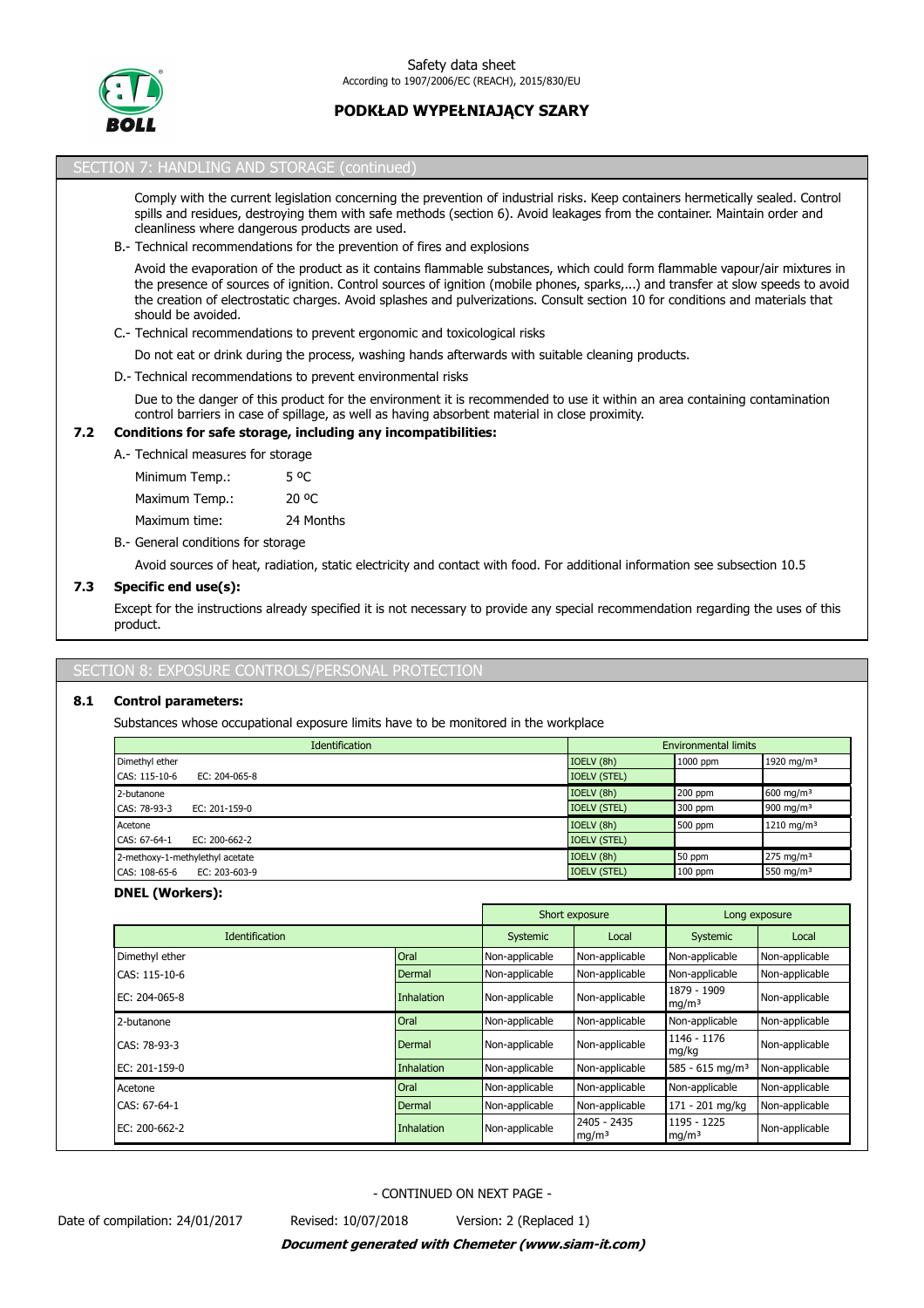

|     | SECTION 7: HANDLING AND STORAGE (continued)                                                                                                                                                                                                                                                                                                                                                                           |
|-----|-----------------------------------------------------------------------------------------------------------------------------------------------------------------------------------------------------------------------------------------------------------------------------------------------------------------------------------------------------------------------------------------------------------------------|
|     | Comply with the current legislation concerning the prevention of industrial risks. Keep containers hermetically sealed. Control<br>spills and residues, destroying them with safe methods (section 6). Avoid leakages from the container. Maintain order and<br>cleanliness where dangerous products are used.<br>B.- Technical recommendations for the prevention of fires and explosions                            |
|     | Avoid the evaporation of the product as it contains flammable substances, which could form flammable vapour/air mixtures in<br>the presence of sources of ignition. Control sources of ignition (mobile phones, sparks,) and transfer at slow speeds to avoid<br>the creation of electrostatic charges. Avoid splashes and pulverizations. Consult section 10 for conditions and materials that<br>should be avoided. |
|     | C.- Technical recommendations to prevent ergonomic and toxicological risks                                                                                                                                                                                                                                                                                                                                            |
|     | Do not eat or drink during the process, washing hands afterwards with suitable cleaning products.                                                                                                                                                                                                                                                                                                                     |
|     | D. Technical recommendations to prevent environmental risks                                                                                                                                                                                                                                                                                                                                                           |
|     | Due to the danger of this product for the environment it is recommended to use it within an area containing contamination<br>control barriers in case of spillage, as well as having absorbent material in close proximity.                                                                                                                                                                                           |
| 7.2 | Conditions for safe storage, including any incompatibilities:                                                                                                                                                                                                                                                                                                                                                         |
|     | A.- Technical measures for storage                                                                                                                                                                                                                                                                                                                                                                                    |
|     | 5 °C<br>Minimum Temp.:                                                                                                                                                                                                                                                                                                                                                                                                |
|     | 20 °C<br>Maximum Temp.:                                                                                                                                                                                                                                                                                                                                                                                               |
|     | 24 Months<br>Maximum time:                                                                                                                                                                                                                                                                                                                                                                                            |
|     | B. General conditions for storage                                                                                                                                                                                                                                                                                                                                                                                     |
|     | Avoid sources of heat, radiation, static electricity and contact with food. For additional information see subsection 10.5                                                                                                                                                                                                                                                                                            |
| 7.3 | Specific end use(s):                                                                                                                                                                                                                                                                                                                                                                                                  |
|     | Except for the instructions already specified it is not necessary to provide any special recommendation regarding the uses of this<br>product.                                                                                                                                                                                                                                                                        |

# SECTION 8: EXPOSURE CONTROLS/PERSONAL PROTECTION

# **8.1 Control parameters:**

Substances whose occupational exposure limits have to be monitored in the workplace

| <b>Identification</b>               |                     | <b>Environmental limits</b> |                        |
|-------------------------------------|---------------------|-----------------------------|------------------------|
| Dimethyl ether                      | IOELV (8h)          | 1000 ppm                    | 1920 mg/m <sup>3</sup> |
| CAS: 115-10-6<br>EC: $204-065-8$    | <b>IOELV (STEL)</b> |                             |                        |
| 2-butanone                          | IOELV (8h)          | $200$ ppm                   | 600 mg/m <sup>3</sup>  |
| CAS: 78-93-3<br>EC: 201-159-0       | <b>IOELV (STEL)</b> | 300 ppm                     | 900 mg/m $3$           |
| Acetone                             | IOELV (8h)          | 500 ppm                     | 1210 mg/m <sup>3</sup> |
| CAS: 67-64-1<br>EC: $200 - 662 - 2$ | <b>IOELV (STEL)</b> |                             |                        |
| 2-methoxy-1-methylethyl acetate     | IOELV (8h)          | 50 ppm                      | 275 mg/m <sup>3</sup>  |
| CAS: 108-65-6<br>EC: 203-603-9      | <b>IOELV (STEL)</b> | $100$ ppm                   | 550 mg/m <sup>3</sup>  |

# **DNEL (Workers):**

|                       |                   | Short exposure | Long exposure                    |                                  |                |
|-----------------------|-------------------|----------------|----------------------------------|----------------------------------|----------------|
| <b>Identification</b> |                   | Systemic       | Local                            | Systemic                         | Local          |
| Dimethyl ether        | Oral              | Non-applicable | Non-applicable                   | Non-applicable                   | Non-applicable |
| CAS: 115-10-6         | Dermal            | Non-applicable | Non-applicable                   | Non-applicable                   | Non-applicable |
| EC: 204-065-8         | <b>Inhalation</b> | Non-applicable | Non-applicable                   | 1879 - 1909<br>mq/m <sup>3</sup> | Non-applicable |
| 2-butanone            | Oral              | Non-applicable | Non-applicable                   | Non-applicable                   | Non-applicable |
| CAS: 78-93-3          | Dermal            | Non-applicable | Non-applicable                   | 1146 - 1176<br>mg/kg             | Non-applicable |
| EC: 201-159-0         | <b>Inhalation</b> | Non-applicable | Non-applicable                   | $585 - 615$ mg/m <sup>3</sup>    | Non-applicable |
| Acetone               | Oral              | Non-applicable | Non-applicable                   | Non-applicable                   | Non-applicable |
| CAS: 67-64-1          | Dermal            | Non-applicable | Non-applicable                   | 171 - 201 mg/kg                  | Non-applicable |
| EC: 200-662-2         | <b>Inhalation</b> | Non-applicable | 2405 - 2435<br>mg/m <sup>3</sup> | 1195 - 1225<br>mg/m <sup>3</sup> | Non-applicable |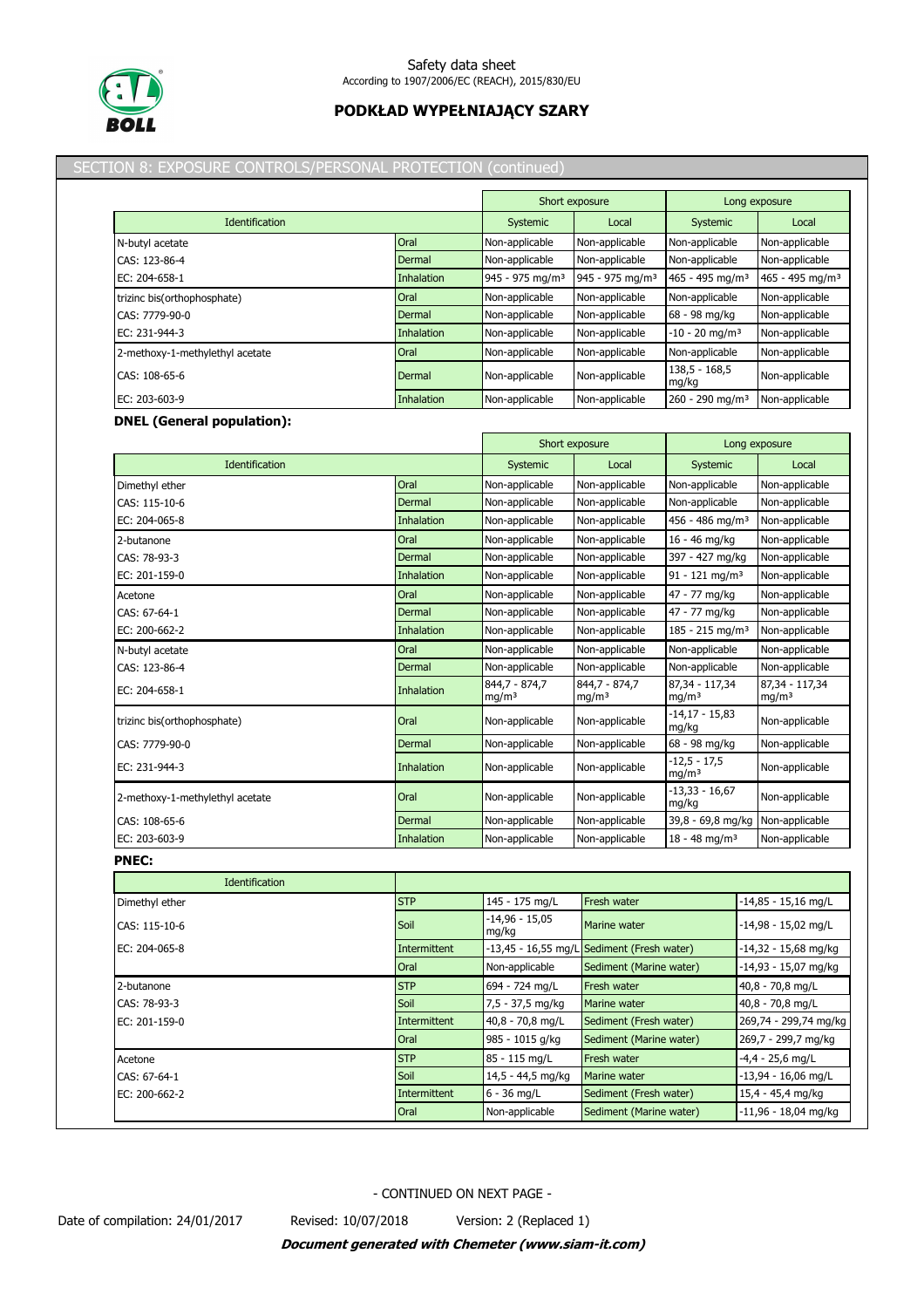

## SECTION 8: EXPOSURE CONTROLS/PERSONAL PROTECTION (continued)

|                                 |             |                             | Short exposure              |                               | Long exposure               |
|---------------------------------|-------------|-----------------------------|-----------------------------|-------------------------------|-----------------------------|
| <b>Identification</b>           |             | Systemic                    | Local                       | Systemic                      | Local                       |
| N-butyl acetate                 | Oral        | Non-applicable              | Non-applicable              | Non-applicable                | Non-applicable              |
| CAS: 123-86-4                   | Dermal      | Non-applicable              | Non-applicable              | Non-applicable                | Non-applicable              |
| EC: 204-658-1                   | Inhalation  | 945 - 975 mg/m <sup>3</sup> | 945 - 975 mg/m <sup>3</sup> | 465 - 495 mg/m <sup>3</sup>   | 465 - 495 mg/m <sup>3</sup> |
| trizinc bis(orthophosphate)     | <b>Oral</b> | Non-applicable              | Non-applicable              | Non-applicable                | Non-applicable              |
| CAS: 7779-90-0                  | Dermal      | Non-applicable              | Non-applicable              | 68 - 98 mg/kg                 | Non-applicable              |
| EC: 231-944-3                   | Inhalation  | Non-applicable              | Non-applicable              | $-10 - 20$ mg/m <sup>3</sup>  | Non-applicable              |
| 2-methoxy-1-methylethyl acetate | Oral        | Non-applicable              | Non-applicable              | Non-applicable                | Non-applicable              |
| CAS: 108-65-6                   | Dermal      | Non-applicable              | Non-applicable              | $138,5 - 168,5$<br>mg/kg      | Non-applicable              |
| EC: 203-603-9                   | Inhalation  | Non-applicable              | Non-applicable              | $260 - 290$ ma/m <sup>3</sup> | Non-applicable              |

# **DNEL (General population):**

|                                 |                   |                                    | Short exposure                     | Long exposure                       |                                     |
|---------------------------------|-------------------|------------------------------------|------------------------------------|-------------------------------------|-------------------------------------|
| Identification                  |                   | Systemic                           | Local                              | Systemic                            | Local                               |
| Dimethyl ether                  | Oral              | Non-applicable                     | Non-applicable                     | Non-applicable                      | Non-applicable                      |
| CAS: 115-10-6                   | Dermal            | Non-applicable                     | Non-applicable                     | Non-applicable                      | Non-applicable                      |
| EC: 204-065-8                   | <b>Inhalation</b> | Non-applicable                     | Non-applicable                     | 456 - 486 mg/m <sup>3</sup>         | Non-applicable                      |
| 2-butanone                      | Oral              | Non-applicable                     | Non-applicable                     | 16 - 46 mg/kg                       | Non-applicable                      |
| CAS: 78-93-3                    | Dermal            | Non-applicable                     | Non-applicable                     | 397 - 427 mg/kg                     | Non-applicable                      |
| EC: 201-159-0                   | <b>Inhalation</b> | Non-applicable                     | Non-applicable                     | $91 - 121$ mg/m <sup>3</sup>        | Non-applicable                      |
| Acetone                         | Oral              | Non-applicable                     | Non-applicable                     | 47 - 77 mg/kg                       | Non-applicable                      |
| CAS: 67-64-1                    | Dermal            | Non-applicable                     | Non-applicable                     | 47 - 77 mg/kg                       | Non-applicable                      |
| EC: 200-662-2                   | <b>Inhalation</b> | Non-applicable                     | Non-applicable                     | $185 - 215$ mg/m <sup>3</sup>       | Non-applicable                      |
| N-butyl acetate                 | Oral              | Non-applicable                     | Non-applicable                     | Non-applicable                      | Non-applicable                      |
| CAS: 123-86-4                   | Dermal            | Non-applicable                     | Non-applicable                     | Non-applicable                      | Non-applicable                      |
| EC: 204-658-1                   | <b>Inhalation</b> | 844.7 - 874.7<br>mg/m <sup>3</sup> | 844.7 - 874.7<br>mg/m <sup>3</sup> | 87.34 - 117.34<br>mg/m <sup>3</sup> | 87.34 - 117.34<br>mg/m <sup>3</sup> |
| trizinc bis(orthophosphate)     | Oral              | Non-applicable                     | Non-applicable                     | $-14,17 - 15,83$<br>mg/kg           | Non-applicable                      |
| CAS: 7779-90-0                  | Dermal            | Non-applicable                     | Non-applicable                     | 68 - 98 mg/kg                       | Non-applicable                      |
| EC: 231-944-3                   | Inhalation        | Non-applicable                     | Non-applicable                     | $-12,5 - 17,5$<br>mg/m <sup>3</sup> | Non-applicable                      |
| 2-methoxy-1-methylethyl acetate | Oral              | Non-applicable                     | Non-applicable                     | $-13,33 - 16,67$<br>mg/kg           | Non-applicable                      |
| CAS: 108-65-6                   | <b>Dermal</b>     | Non-applicable                     | Non-applicable                     | 39,8 - 69,8 mg/kg                   | Non-applicable                      |
| EC: 203-603-9                   | Inhalation        | Non-applicable                     | Non-applicable                     | $18 - 48$ mg/m <sup>3</sup>         | Non-applicable                      |

**PNEC:**

| Identification |                     |                           |                                            |                        |
|----------------|---------------------|---------------------------|--------------------------------------------|------------------------|
| Dimethyl ether | <b>STP</b>          | 145 - 175 mg/L            | <b>Fresh water</b>                         | $-14,85 - 15,16$ mg/L  |
| CAS: 115-10-6  | Soil                | $-14,96 - 15,05$<br>mg/kg | Marine water                               | $-14,98 - 15,02$ mg/L  |
| EC: 204-065-8  | <b>Intermittent</b> |                           | -13,45 - 16,55 mg/L Sediment (Fresh water) | $-14,32 - 15,68$ mg/kg |
|                | Oral                | Non-applicable            | Sediment (Marine water)                    | $-14,93 - 15,07$ mg/kg |
| 2-butanone     | <b>STP</b>          | 694 - 724 mg/L            | <b>Fresh water</b>                         | 40,8 - 70,8 mg/L       |
| CAS: 78-93-3   | Soil                | 7,5 - 37,5 mg/kg          | Marine water                               | 40,8 - 70,8 mg/L       |
| EC: 201-159-0  | <b>Intermittent</b> | 40,8 - 70,8 mg/L          | Sediment (Fresh water)                     | 269,74 - 299,74 mg/kg  |
|                | Oral                | 985 - 1015 g/kg           | Sediment (Marine water)                    | 269,7 - 299,7 mg/kg    |
| Acetone        | <b>STP</b>          | 85 - 115 mg/L             | <b>Fresh water</b>                         | $-4,4 - 25,6$ mg/L     |
| CAS: 67-64-1   | Soil                | 14,5 - 44,5 mg/kg         | Marine water                               | $-13,94 - 16,06$ mg/L  |
| EC: 200-662-2  | <b>Intermittent</b> | $6 - 36$ mg/L             | Sediment (Fresh water)                     | 15,4 - 45,4 mg/kg      |
|                | Oral                | Non-applicable            | Sediment (Marine water)                    | $-11,96 - 18,04$ mg/kg |

- CONTINUED ON NEXT PAGE -

Date of compilation: 24/01/2017 Revised: 10/07/2018 Version: 2 (Replaced 1)

*Document generated with Chemeter (www.siam-it.com)*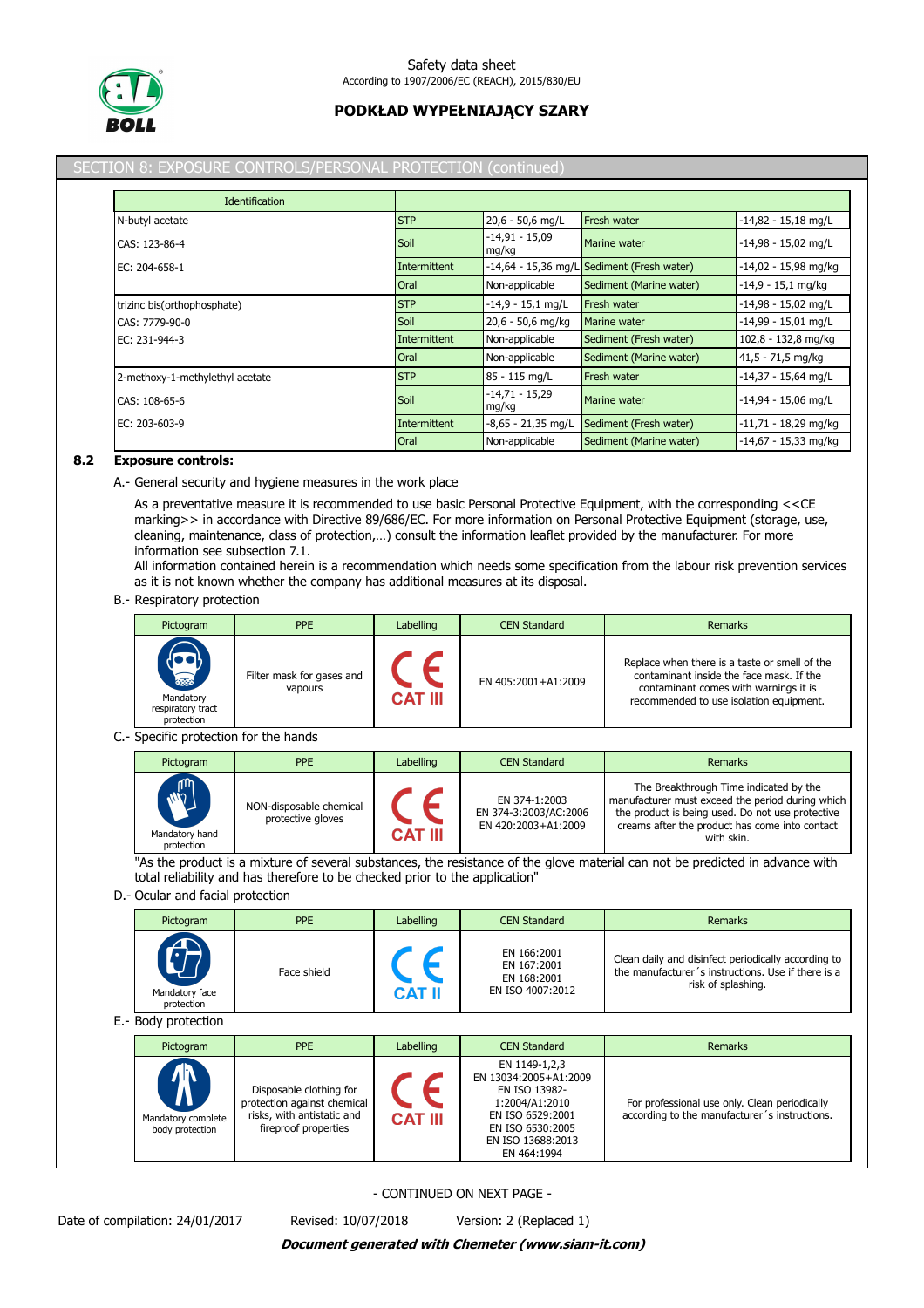

#### SECTION 8: EXPOSURE CONTROLS/PERSONAL PROTECTION (continued)

| <b>Identification</b>           |              |                           |                                            |                        |
|---------------------------------|--------------|---------------------------|--------------------------------------------|------------------------|
| N-butyl acetate                 | <b>STP</b>   | 20,6 - 50,6 mg/L          | Fresh water                                | $-14,82 - 15,18$ mg/L  |
| CAS: 123-86-4                   | Soil         | $-14,91 - 15,09$<br>mg/kg | Marine water                               | $-14,98 - 15,02$ mg/L  |
| EC: 204-658-1                   | Intermittent |                           | -14,64 - 15,36 mg/L Sediment (Fresh water) | $-14,02 - 15,98$ mg/kg |
|                                 | Oral         | Non-applicable            | Sediment (Marine water)                    | $-14.9 - 15.1$ mg/kg   |
| trizinc bis(orthophosphate)     | <b>STP</b>   | $-14,9 - 15,1$ mg/L       | <b>Fresh water</b>                         | $-14,98 - 15,02$ mg/L  |
| CAS: 7779-90-0                  | Soil         | 20,6 - 50,6 mg/kg         | Marine water                               | $-14,99 - 15,01$ mg/L  |
| EC: 231-944-3                   | Intermittent | Non-applicable            | Sediment (Fresh water)                     | 102,8 - 132,8 mg/kg    |
|                                 | Oral         | Non-applicable            | Sediment (Marine water)                    | 41,5 - 71,5 mg/kg      |
| 2-methoxy-1-methylethyl acetate | <b>STP</b>   | 85 - 115 mg/L             | <b>Fresh water</b>                         | $-14,37 - 15,64$ mg/L  |
| CAS: 108-65-6                   | Soil         | $-14,71 - 15,29$<br>mg/kg | Marine water                               | $-14,94 - 15,06$ mg/L  |
| EC: 203-603-9                   | Intermittent | $-8,65 - 21,35$ mg/L      | Sediment (Fresh water)                     | $-11,71 - 18,29$ mg/kg |
|                                 | Oral         | Non-applicable            | Sediment (Marine water)                    | $-14,67 - 15,33$ mg/kg |

#### **8.2 Exposure controls:**

A.- General security and hygiene measures in the work place

As a preventative measure it is recommended to use basic Personal Protective Equipment, with the corresponding <<CE marking>> in accordance with Directive 89/686/EC. For more information on Personal Protective Equipment (storage, use, cleaning, maintenance, class of protection,…) consult the information leaflet provided by the manufacturer. For more information see subsection 7.1.

All information contained herein is a recommendation which needs some specification from the labour risk prevention services as it is not known whether the company has additional measures at its disposal.

B.- Respiratory protection

| Pictogram                                                   | <b>PPE</b>                           | Labelling      | <b>CEN Standard</b> | Remarks                                                                                                                                                                       |
|-------------------------------------------------------------|--------------------------------------|----------------|---------------------|-------------------------------------------------------------------------------------------------------------------------------------------------------------------------------|
| <b>READ</b><br>Mandatory<br>respiratory tract<br>protection | Filter mask for gases and<br>vapours | <b>CAT III</b> | EN 405:2001+A1:2009 | Replace when there is a taste or smell of the<br>contaminant inside the face mask. If the<br>contaminant comes with warnings it is<br>recommended to use isolation equipment. |

#### C.- Specific protection for the hands

| Pictogram                                             | <b>PPE</b>                                   | Labelling      | <b>CEN Standard</b>                                           | Remarks                                                                                                                                                                                                        |
|-------------------------------------------------------|----------------------------------------------|----------------|---------------------------------------------------------------|----------------------------------------------------------------------------------------------------------------------------------------------------------------------------------------------------------------|
| <b>M</b> <sub>2</sub><br>Mandatory hand<br>protection | NON-disposable chemical<br>protective gloves | <b>CAT III</b> | EN 374-1:2003<br>EN 374-3:2003/AC:2006<br>EN 420:2003+A1:2009 | The Breakthrough Time indicated by the<br>manufacturer must exceed the period during which<br>the product is being used. Do not use protective<br>creams after the product has come into contact<br>with skin. |

"As the product is a mixture of several substances, the resistance of the glove material can not be predicted in advance with total reliability and has therefore to be checked prior to the application"

### D.- Ocular and facial protection

| Pictogram                                 | <b>PPE</b>  | Labelling     | <b>CEN Standard</b>                                           | <b>Remarks</b>                                                                                                                  |
|-------------------------------------------|-------------|---------------|---------------------------------------------------------------|---------------------------------------------------------------------------------------------------------------------------------|
| <b>AV</b><br>Mandatory face<br>protection | Face shield | <b>CAT II</b> | EN 166:2001<br>EN 167:2001<br>EN 168:2001<br>EN ISO 4007:2012 | Clean daily and disinfect periodically according to<br>the manufacturer's instructions. Use if there is a<br>risk of splashing. |

E.- Body protection

| Pictogram                                          | <b>PPE</b>                                                                                                   | Labelling      | <b>CEN Standard</b>                                                                                                                                   | <b>Remarks</b>                                                                                 |
|----------------------------------------------------|--------------------------------------------------------------------------------------------------------------|----------------|-------------------------------------------------------------------------------------------------------------------------------------------------------|------------------------------------------------------------------------------------------------|
| $\Lambda$<br>Mandatory complete<br>body protection | Disposable clothing for<br>protection against chemical<br>risks, with antistatic and<br>fireproof properties | <b>CAT III</b> | EN 1149-1,2,3<br>EN 13034:2005+A1:2009<br>EN ISO 13982-<br>1:2004/A1:2010<br>EN ISO 6529:2001<br>EN ISO 6530:2005<br>EN ISO 13688:2013<br>EN 464:1994 | For professional use only. Clean periodically<br>according to the manufacturer's instructions. |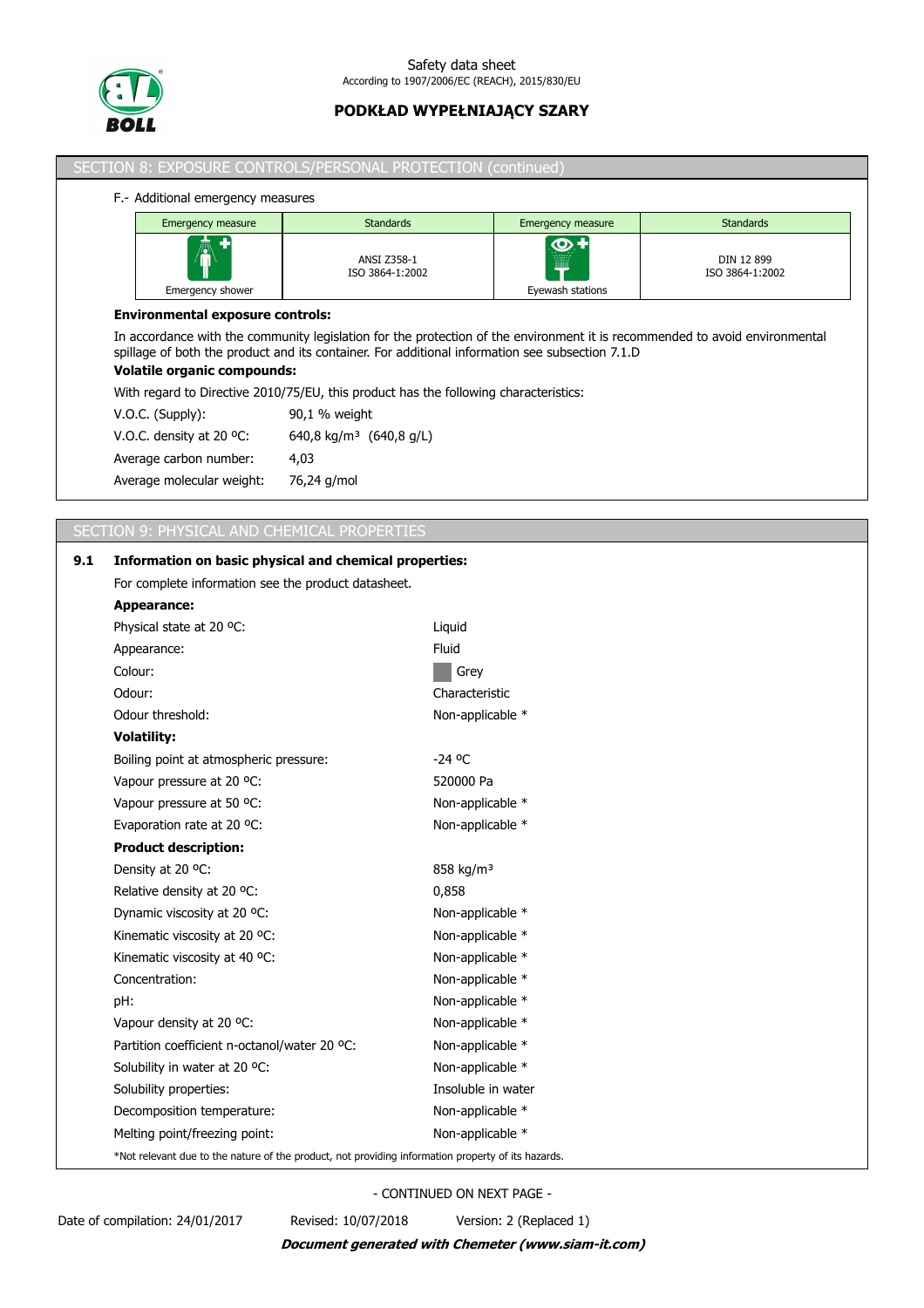

|     | SECTION 8: EXPOSURE CONTROLS/PERSONAL PROTECTION (continued)                         |                                                                                                                                                                                                                                |                                      |                                  |                               |  |  |
|-----|--------------------------------------------------------------------------------------|--------------------------------------------------------------------------------------------------------------------------------------------------------------------------------------------------------------------------------|--------------------------------------|----------------------------------|-------------------------------|--|--|
|     | F.- Additional emergency measures                                                    |                                                                                                                                                                                                                                |                                      |                                  |                               |  |  |
|     | <b>Emergency measure</b>                                                             | <b>Standards</b>                                                                                                                                                                                                               |                                      | Emergency measure                | <b>Standards</b>              |  |  |
|     | Emergency shower                                                                     | <b>ANSI Z358-1</b><br>ISO 3864-1:2002                                                                                                                                                                                          |                                      | $\bigcirc$ +<br>Eyewash stations | DIN 12 899<br>ISO 3864-1:2002 |  |  |
|     | <b>Environmental exposure controls:</b>                                              |                                                                                                                                                                                                                                |                                      |                                  |                               |  |  |
|     | <b>Volatile organic compounds:</b>                                                   | In accordance with the community legislation for the protection of the environment it is recommended to avoid environmental<br>spillage of both the product and its container. For additional information see subsection 7.1.D |                                      |                                  |                               |  |  |
|     | With regard to Directive 2010/75/EU, this product has the following characteristics: |                                                                                                                                                                                                                                |                                      |                                  |                               |  |  |
|     | V.O.C. (Supply):                                                                     | 90,1 % weight                                                                                                                                                                                                                  |                                      |                                  |                               |  |  |
|     | V.O.C. density at 20 °C:                                                             | 640,8 kg/m <sup>3</sup> (640,8 g/L)                                                                                                                                                                                            |                                      |                                  |                               |  |  |
|     | Average carbon number:                                                               | 4,03                                                                                                                                                                                                                           |                                      |                                  |                               |  |  |
|     | Average molecular weight:                                                            | 76,24 g/mol                                                                                                                                                                                                                    |                                      |                                  |                               |  |  |
|     |                                                                                      |                                                                                                                                                                                                                                |                                      |                                  |                               |  |  |
|     | SECTION 9: PHYSICAL AND CHEMICAL PROPERTIES                                          |                                                                                                                                                                                                                                |                                      |                                  |                               |  |  |
| 9.1 | Information on basic physical and chemical properties:                               |                                                                                                                                                                                                                                |                                      |                                  |                               |  |  |
|     | For complete information see the product datasheet.                                  |                                                                                                                                                                                                                                |                                      |                                  |                               |  |  |
|     | Appearance:                                                                          |                                                                                                                                                                                                                                |                                      |                                  |                               |  |  |
|     | Physical state at 20 °C:                                                             |                                                                                                                                                                                                                                | Liquid                               |                                  |                               |  |  |
|     | Appearance:                                                                          |                                                                                                                                                                                                                                | Fluid                                |                                  |                               |  |  |
|     | Colour:                                                                              |                                                                                                                                                                                                                                | Grey                                 |                                  |                               |  |  |
|     | Odour:                                                                               |                                                                                                                                                                                                                                | Characteristic                       |                                  |                               |  |  |
|     | Odour threshold:                                                                     |                                                                                                                                                                                                                                |                                      | Non-applicable *                 |                               |  |  |
|     | <b>Volatility:</b>                                                                   |                                                                                                                                                                                                                                |                                      |                                  |                               |  |  |
|     | Boiling point at atmospheric pressure:<br>Vapour pressure at 20 °C:                  |                                                                                                                                                                                                                                | $-24$ °C<br>520000 Pa                |                                  |                               |  |  |
|     |                                                                                      |                                                                                                                                                                                                                                |                                      |                                  |                               |  |  |
|     | Vapour pressure at 50 °C:                                                            |                                                                                                                                                                                                                                | Non-applicable *                     |                                  |                               |  |  |
|     | Evaporation rate at 20 °C:                                                           |                                                                                                                                                                                                                                | Non-applicable *                     |                                  |                               |  |  |
|     | <b>Product description:</b>                                                          |                                                                                                                                                                                                                                |                                      |                                  |                               |  |  |
|     | Density at 20 °C:                                                                    |                                                                                                                                                                                                                                | 858 kg/m <sup>3</sup>                |                                  |                               |  |  |
|     | Relative density at 20 °C:                                                           |                                                                                                                                                                                                                                | 0,858                                |                                  |                               |  |  |
|     | Dynamic viscosity at 20 °C:                                                          |                                                                                                                                                                                                                                | Non-applicable *                     |                                  |                               |  |  |
|     | Kinematic viscosity at 20 °C:                                                        |                                                                                                                                                                                                                                | Non-applicable *                     |                                  |                               |  |  |
|     | Kinematic viscosity at 40 °C:                                                        |                                                                                                                                                                                                                                | Non-applicable *                     |                                  |                               |  |  |
|     | Concentration:                                                                       |                                                                                                                                                                                                                                | Non-applicable *<br>Non-applicable * |                                  |                               |  |  |
|     | pH:                                                                                  |                                                                                                                                                                                                                                |                                      |                                  |                               |  |  |
|     | Vapour density at 20 °C:                                                             |                                                                                                                                                                                                                                | Non-applicable *                     |                                  |                               |  |  |
|     | Partition coefficient n-octanol/water 20 °C:                                         |                                                                                                                                                                                                                                | Non-applicable *                     |                                  |                               |  |  |
|     | Solubility in water at 20 °C:                                                        |                                                                                                                                                                                                                                | Non-applicable *                     |                                  |                               |  |  |
|     | Solubility properties:                                                               |                                                                                                                                                                                                                                | Insoluble in water                   |                                  |                               |  |  |
|     | Decomposition temperature:                                                           |                                                                                                                                                                                                                                | Non-applicable *                     |                                  |                               |  |  |

Melting point/freezing point: Non-applicable \* \*Not relevant due to the nature of the product, not providing information property of its hazards.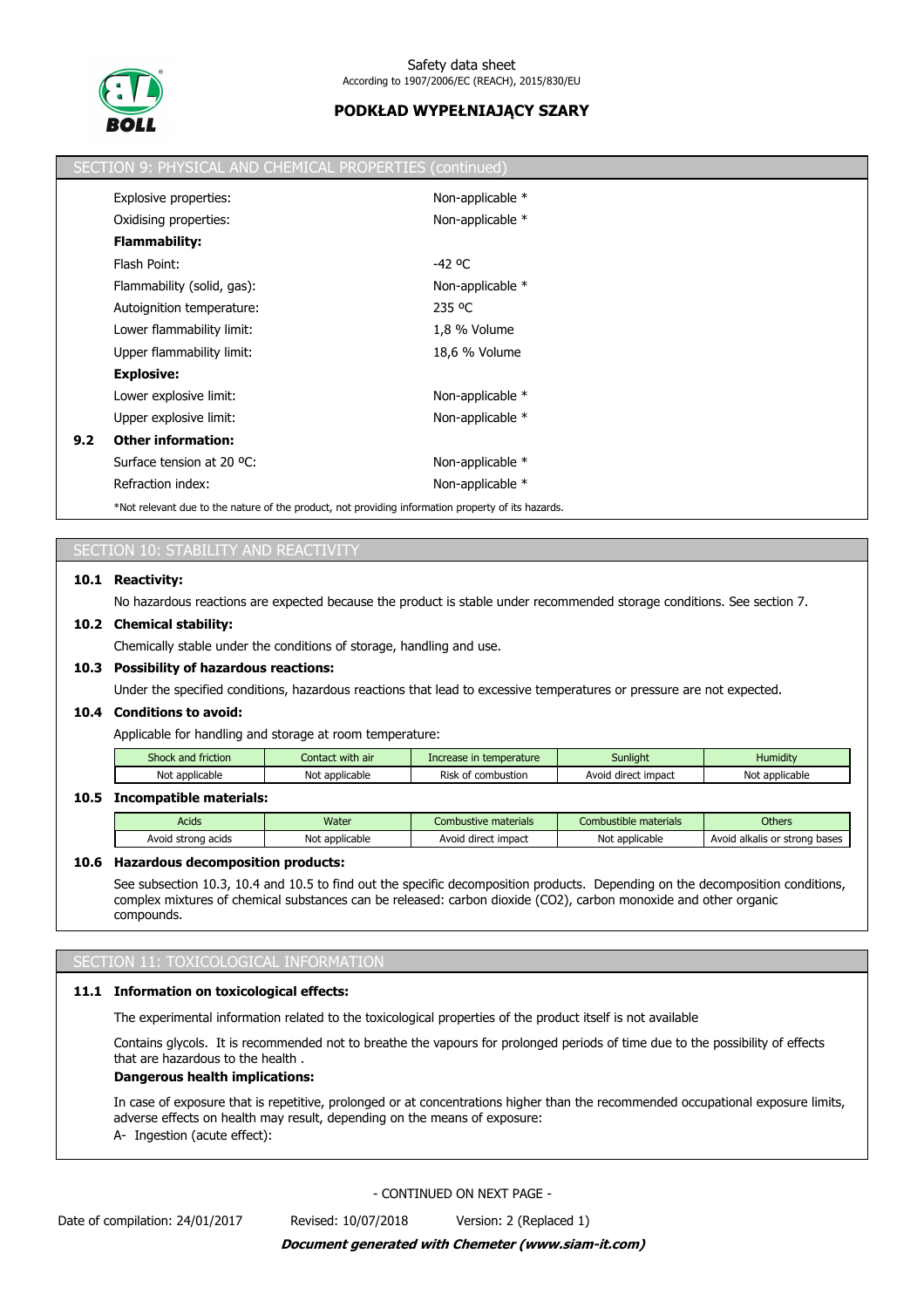

|     | SECTION 9: PHYSICAL AND CHEMICAL PROPERTIES (continued)                                            |                  |
|-----|----------------------------------------------------------------------------------------------------|------------------|
|     | Explosive properties:                                                                              | Non-applicable * |
|     | Oxidising properties:                                                                              | Non-applicable * |
|     | <b>Flammability:</b>                                                                               |                  |
|     | Flash Point:                                                                                       | -42 °C           |
|     | Flammability (solid, gas):                                                                         | Non-applicable * |
|     | Autoignition temperature:                                                                          | 235 °C           |
|     | Lower flammability limit:                                                                          | 1,8 % Volume     |
|     | Upper flammability limit:                                                                          | 18,6 % Volume    |
|     | <b>Explosive:</b>                                                                                  |                  |
|     | Lower explosive limit:                                                                             | Non-applicable * |
|     | Upper explosive limit:                                                                             | Non-applicable * |
| 9.2 | <b>Other information:</b>                                                                          |                  |
|     | Surface tension at 20 °C:                                                                          | Non-applicable * |
|     | Refraction index:                                                                                  | Non-applicable * |
|     | *Not relevant due to the nature of the product, not providing information property of its hazards. |                  |

# SECTION 10: STABILITY AND REACTIVITY

#### **10.1 Reactivity:**

No hazardous reactions are expected because the product is stable under recommended storage conditions. See section 7.

#### **10.2 Chemical stability:**

Chemically stable under the conditions of storage, handling and use.

#### **10.3 Possibility of hazardous reactions:**

Under the specified conditions, hazardous reactions that lead to excessive temperatures or pressure are not expected.

#### **10.4 Conditions to avoid:**

Applicable for handling and storage at room temperature:

| Shock and friction  | Contact with air    | Increase in temperature                   | Sunliaht               | .<br>Humidity  |
|---------------------|---------------------|-------------------------------------------|------------------------|----------------|
| Not<br>: applicable | Not<br>* applicable | Risk<br>combustion <sup>.</sup><br>$\sim$ | direct impact<br>Avoia | Not applicable |
|                     |                     |                                           |                        |                |

#### **10.5 Incompatible materials:**

| Acids                      | Water          | Combustive materials         | Combustible materials          | <b>Others</b>                         |
|----------------------------|----------------|------------------------------|--------------------------------|---------------------------------------|
| ı acids<br>Avoid<br>strono | Not applicable | impact<br>u direct.<br>Avoic | <sup>.</sup> applicable<br>Not | Avoid alkalis o<br>bases<br>or strona |

#### **10.6 Hazardous decomposition products:**

See subsection 10.3, 10.4 and 10.5 to find out the specific decomposition products. Depending on the decomposition conditions, complex mixtures of chemical substances can be released: carbon dioxide (CO2), carbon monoxide and other organic compounds.

#### SECTION 11: TOXICOLOGICAL INFORMATION

## **11.1 Information on toxicological effects:**

The experimental information related to the toxicological properties of the product itself is not available

Contains glycols. It is recommended not to breathe the vapours for prolonged periods of time due to the possibility of effects that are hazardous to the health .

#### **Dangerous health implications:**

In case of exposure that is repetitive, prolonged or at concentrations higher than the recommended occupational exposure limits, adverse effects on health may result, depending on the means of exposure:

A- Ingestion (acute effect):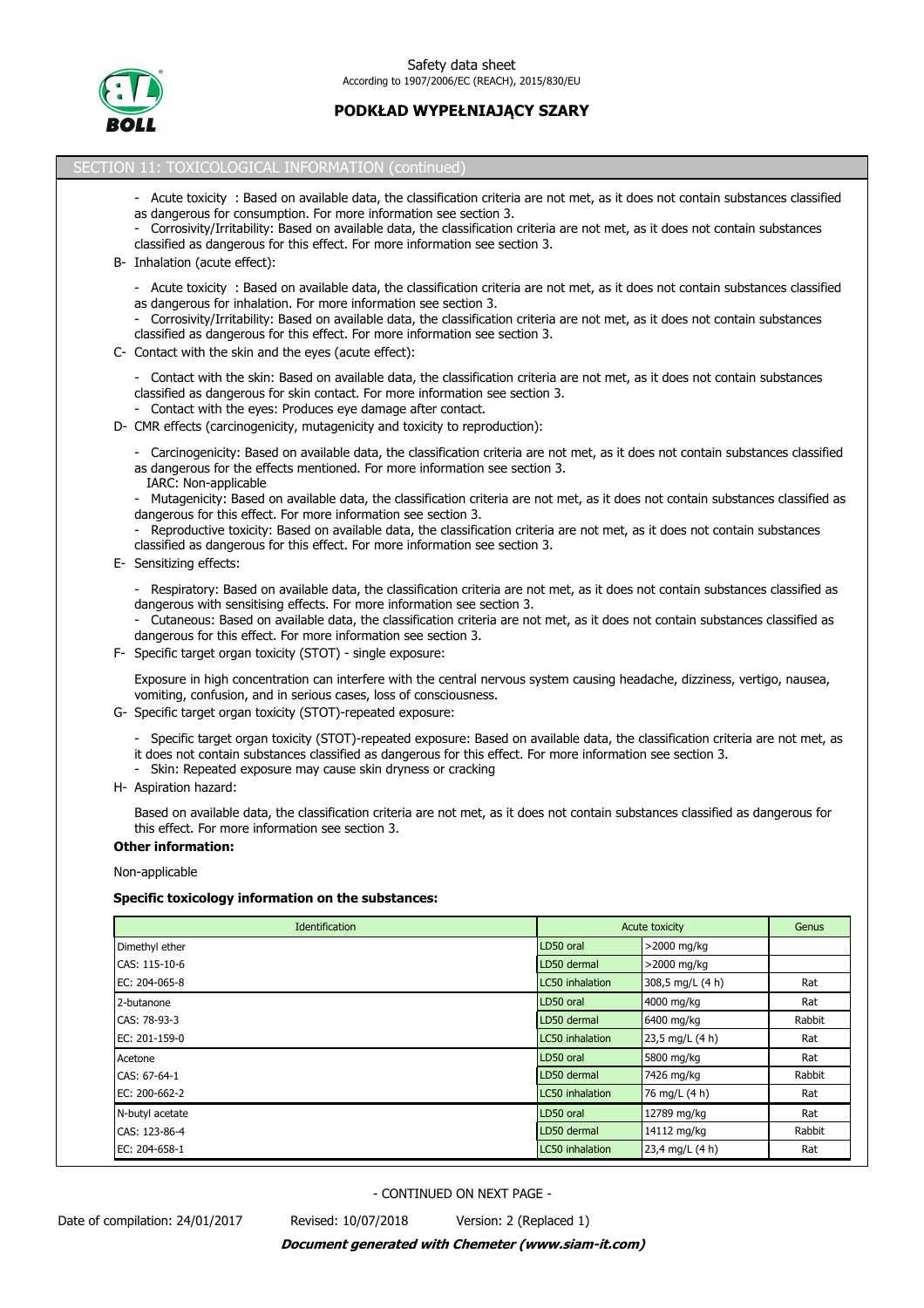

## SECTION 11: TOXICOLOGICAL INFORMATION (continued)

- Acute toxicity : Based on available data, the classification criteria are not met, as it does not contain substances classified as dangerous for consumption. For more information see section 3.
- Corrosivity/Irritability: Based on available data, the classification criteria are not met, as it does not contain substances classified as dangerous for this effect. For more information see section 3.
- B- Inhalation (acute effect):
	- Acute toxicity : Based on available data, the classification criteria are not met, as it does not contain substances classified as dangerous for inhalation. For more information see section 3.
	- Corrosivity/Irritability: Based on available data, the classification criteria are not met, as it does not contain substances classified as dangerous for this effect. For more information see section 3.
- C- Contact with the skin and the eyes (acute effect):
	- Contact with the skin: Based on available data, the classification criteria are not met, as it does not contain substances classified as dangerous for skin contact. For more information see section 3.
	- Contact with the eyes: Produces eye damage after contact.
- D- CMR effects (carcinogenicity, mutagenicity and toxicity to reproduction):
	- Carcinogenicity: Based on available data, the classification criteria are not met, as it does not contain substances classified as dangerous for the effects mentioned. For more information see section 3. IARC: Non-applicable
	- Mutagenicity: Based on available data, the classification criteria are not met, as it does not contain substances classified as dangerous for this effect. For more information see section 3.
	- Reproductive toxicity: Based on available data, the classification criteria are not met, as it does not contain substances classified as dangerous for this effect. For more information see section 3.
- E- Sensitizing effects:
	- Respiratory: Based on available data, the classification criteria are not met, as it does not contain substances classified as dangerous with sensitising effects. For more information see section 3.
	- Cutaneous: Based on available data, the classification criteria are not met, as it does not contain substances classified as dangerous for this effect. For more information see section 3.
- F- Specific target organ toxicity (STOT) single exposure:

Exposure in high concentration can interfere with the central nervous system causing headache, dizziness, vertigo, nausea, vomiting, confusion, and in serious cases, loss of consciousness.

- G- Specific target organ toxicity (STOT)-repeated exposure:
	- Specific target organ toxicity (STOT)-repeated exposure: Based on available data, the classification criteria are not met, as
	- it does not contain substances classified as dangerous for this effect. For more information see section 3.
	- Skin: Repeated exposure may cause skin dryness or cracking
- H- Aspiration hazard:

Based on available data, the classification criteria are not met, as it does not contain substances classified as dangerous for this effect. For more information see section 3.

# **Other information:**

Non-applicable

#### **Specific toxicology information on the substances:**

| Identification  | Acute toxicity  |                  | Genus  |
|-----------------|-----------------|------------------|--------|
| Dimethyl ether  | LD50 oral       | >2000 mg/kg      |        |
| CAS: 115-10-6   | LD50 dermal     | >2000 mg/kg      |        |
| EC: 204-065-8   | LC50 inhalation | 308,5 mg/L (4 h) | Rat    |
| 2-butanone      | LD50 oral       | 4000 mg/kg       | Rat    |
| CAS: 78-93-3    | LD50 dermal     | 6400 mg/kg       | Rabbit |
| EC: 201-159-0   | LC50 inhalation | 23,5 mg/L (4 h)  | Rat    |
| Acetone         | LD50 oral       | 5800 mg/kg       | Rat    |
| CAS: 67-64-1    | LD50 dermal     | 7426 mg/kg       | Rabbit |
| EC: 200-662-2   | LC50 inhalation | 76 mg/L (4 h)    | Rat    |
| N-butyl acetate | LD50 oral       | 12789 mg/kg      | Rat    |
| CAS: 123-86-4   | LD50 dermal     | 14112 mg/kg      | Rabbit |
| EC: 204-658-1   | LC50 inhalation | 23,4 mg/L (4 h)  | Rat    |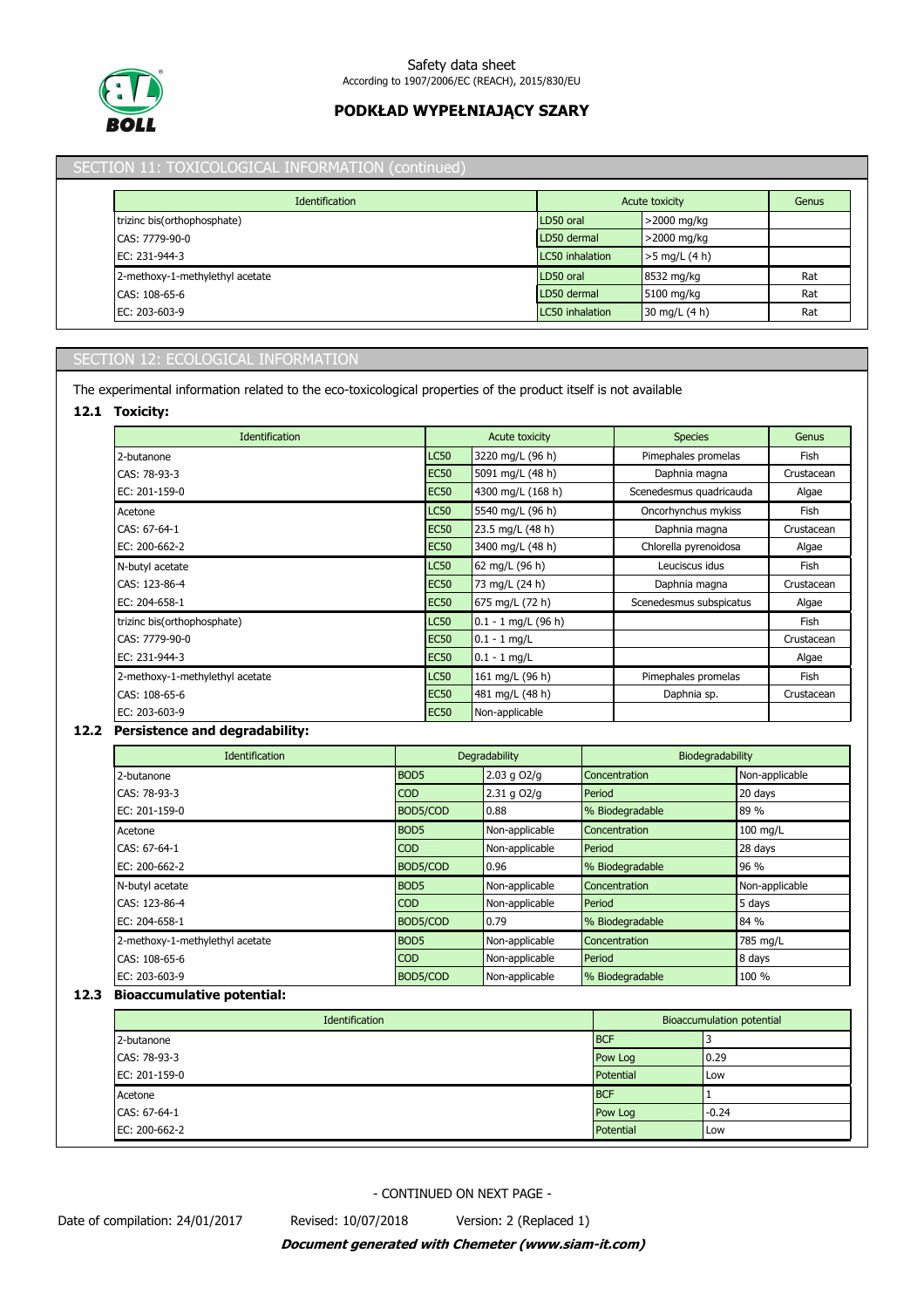

# SECTION 11: TOXICOLOGICAL INFORMATION (continued)

| <b>Identification</b>           |                 | Acute toxicity  | Genus |
|---------------------------------|-----------------|-----------------|-------|
| trizinc bis(orthophosphate)     | LD50 oral       | >2000 mg/kg     |       |
| CAS: 7779-90-0                  | LD50 dermal     | >2000 mg/kg     |       |
| EC: 231-944-3                   | LC50 inhalation | $>5$ mg/L (4 h) |       |
| 2-methoxy-1-methylethyl acetate | LD50 oral       | 8532 mg/kg      | Rat   |
| CAS: 108-65-6                   | LD50 dermal     | 5100 mg/kg      | Rat   |
| $EC: 203-603-9$                 | LC50 inhalation | 30 mg/L (4 h)   | Rat   |

# SECTION 12: ECOLOGICAL INFORMATION

The experimental information related to the eco-toxicological properties of the product itself is not available

## **12.1 Toxicity:**

| <b>Identification</b>           |             | <b>Acute toxicity</b> | <b>Species</b>          | Genus      |
|---------------------------------|-------------|-----------------------|-------------------------|------------|
| 2-butanone                      | <b>LC50</b> | 3220 mg/L (96 h)      | Pimephales promelas     | Fish       |
| CAS: 78-93-3                    | <b>EC50</b> | 5091 mg/L (48 h)      | Daphnia magna           | Crustacean |
| EC: 201-159-0                   | <b>EC50</b> | 4300 mg/L (168 h)     | Scenedesmus quadricauda | Algae      |
| Acetone                         | <b>LC50</b> | 5540 mg/L (96 h)      | Oncorhynchus mykiss     | Fish       |
| CAS: 67-64-1                    | <b>EC50</b> | 23.5 mg/L (48 h)      | Daphnia magna           | Crustacean |
| EC: 200-662-2                   | <b>EC50</b> | 3400 mg/L (48 h)      | Chlorella pyrenoidosa   | Algae      |
| N-butyl acetate                 | <b>LC50</b> | 62 mg/L (96 h)        | Leuciscus idus          | Fish       |
| CAS: 123-86-4                   | <b>EC50</b> | 73 mg/L (24 h)        | Daphnia magna           | Crustacean |
| EC: 204-658-1                   | <b>EC50</b> | 675 mg/L (72 h)       | Scenedesmus subspicatus | Algae      |
| trizinc bis(orthophosphate)     | <b>LC50</b> | $0.1 - 1$ mg/L (96 h) |                         | Fish       |
| CAS: 7779-90-0                  | <b>EC50</b> | $0.1 - 1$ mg/L        |                         | Crustacean |
| EC: 231-944-3                   | <b>EC50</b> | $0.1 - 1$ mg/L        |                         | Algae      |
| 2-methoxy-1-methylethyl acetate | <b>LC50</b> | 161 mg/L (96 h)       | Pimephales promelas     | Fish       |
| CAS: 108-65-6                   | <b>EC50</b> | 481 mg/L (48 h)       | Daphnia sp.             | Crustacean |
| EC: 203-603-9                   | <b>EC50</b> | Non-applicable        |                         |            |

## **12.2 Persistence and degradability:**

| <b>Identification</b>           | Degradability    |                 | Biodegradability     |                |
|---------------------------------|------------------|-----------------|----------------------|----------------|
| 2-butanone                      | BOD <sub>5</sub> | $2.03$ g $O2/q$ | Concentration        | Non-applicable |
| CAS: 78-93-3                    | <b>COD</b>       | $2.31$ g $O2/q$ | Period               | 20 days        |
| EC: 201-159-0                   | BOD5/COD         | 0.88            | % Biodegradable      | 89 %           |
| Acetone                         | BOD <sub>5</sub> | Non-applicable  | <b>Concentration</b> | $100$ mg/L     |
| CAS: 67-64-1                    | <b>COD</b>       | Non-applicable  | Period               | 28 days        |
| EC: 200-662-2                   | BOD5/COD         | 0.96            | % Biodegradable      | 96 %           |
| N-butyl acetate                 | BOD <sub>5</sub> | Non-applicable  | Concentration        | Non-applicable |
| CAS: 123-86-4                   | <b>COD</b>       | Non-applicable  | Period               | 5 days         |
| EC: 204-658-1                   | BOD5/COD         | 0.79            | % Biodegradable      | 84 %           |
| 2-methoxy-1-methylethyl acetate | BOD <sub>5</sub> | Non-applicable  | <b>Concentration</b> | 785 mg/L       |
| CAS: 108-65-6                   | <b>COD</b>       | Non-applicable  | Period               | 8 days         |
| EC: 203-603-9                   | BOD5/COD         | Non-applicable  | % Biodegradable      | 100 %          |

# **12.3 Bioaccumulative potential:**

| Identification | <b>Bioaccumulation potential</b> |         |
|----------------|----------------------------------|---------|
| 2-butanone     | <b>BCF</b>                       |         |
| CAS: 78-93-3   | Pow Log                          | 10.29   |
| EC: 201-159-0  | Potential                        | Low     |
| Acetone        | <b>BCF</b>                       |         |
| CAS: 67-64-1   | Pow Log                          | $-0.24$ |
| EC: 200-662-2  | Potential                        | Low     |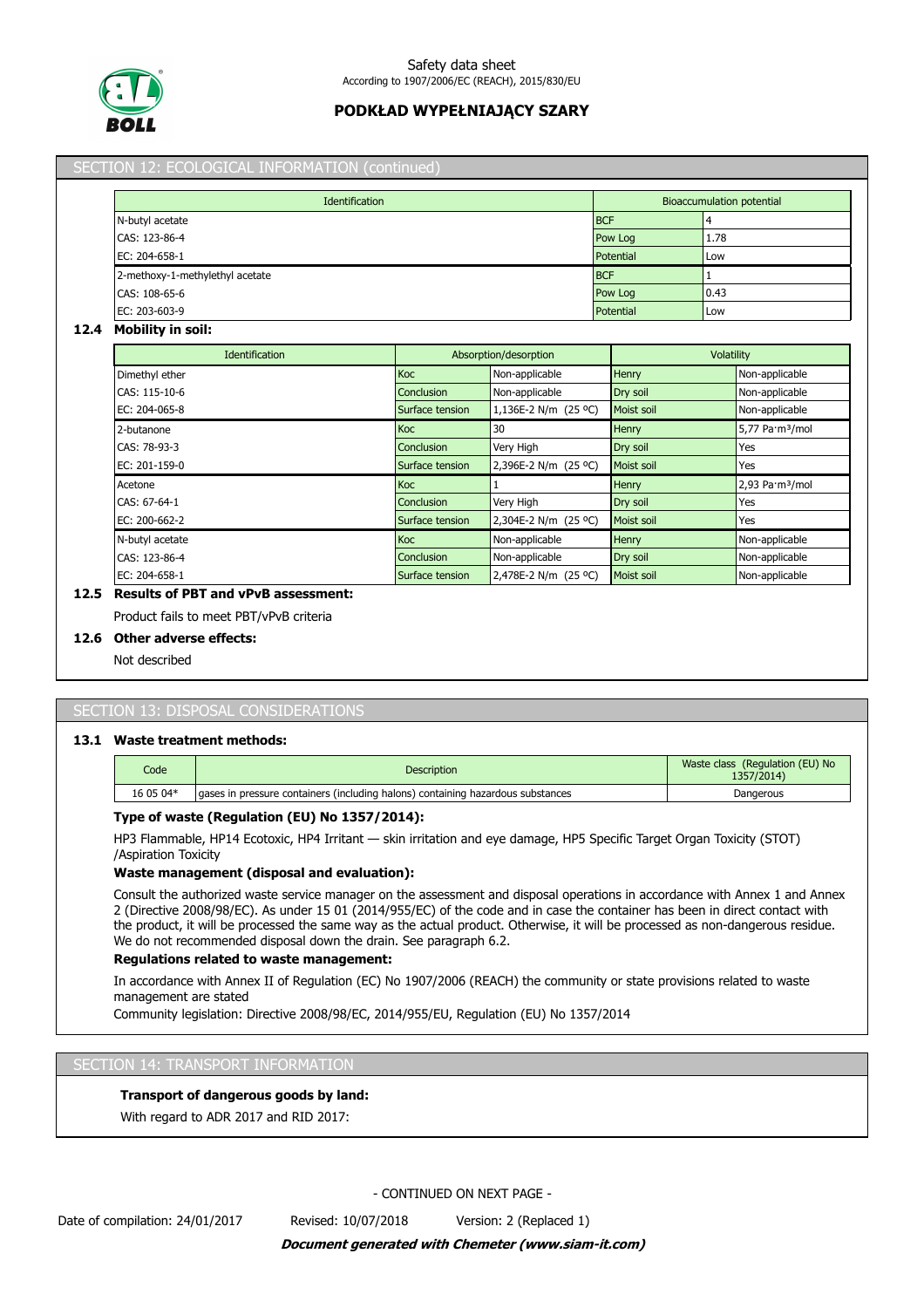

|                                 | Identification  |                       |                  |            | Bioaccumulation potential   |
|---------------------------------|-----------------|-----------------------|------------------|------------|-----------------------------|
| N-butyl acetate                 | <b>BCF</b>      |                       |                  |            |                             |
| CAS: 123-86-4                   |                 |                       | Pow Log          | 1.78       |                             |
| EC: 204-658-1                   |                 |                       | Potential        | Low        |                             |
| 2-methoxy-1-methylethyl acetate |                 |                       | <b>BCF</b>       |            |                             |
| CAS: 108-65-6                   |                 |                       | Pow Log          | 0.43       |                             |
| EC: 203-603-9                   |                 |                       | Potential<br>Low |            |                             |
| <b>Mobility in soil:</b>        |                 |                       |                  |            |                             |
| Identification                  |                 | Absorption/desorption |                  | Volatility |                             |
| Dimethyl ether                  | Koc             | Non-applicable        | <b>Henry</b>     |            | Non-applicable              |
| CAS: 115-10-6                   | Conclusion      | Non-applicable        | Dry soil         |            | Non-applicable              |
| EC: 204-065-8                   | Surface tension | 1,136E-2 N/m (25 °C)  | Moist soil       |            | Non-applicable              |
| 2-butanone                      | Koc             | 30                    | <b>Henry</b>     |            | 5,77 Pa·m <sup>3</sup> /mol |
| CAS: 78-93-3                    | Conclusion      | Very High             | Dry soil         |            | Yes                         |
| EC: 201-159-0                   | Surface tension | 2,396E-2 N/m (25 °C)  | Moist soil       |            | Yes                         |
| Acetone                         | Koc             |                       | <b>Henry</b>     |            | 2,93 Pa·m <sup>3</sup> /mol |
| CAS: 67-64-1                    | Conclusion      | Very High             | Dry soil         |            | Yes                         |

EC: 200-662-2 **Surface tension** 2,304E-2 N/m (25 °C) Moist soil Yes

N-butyl acetate Non-applicable Henry Non-applicable Henry Non-applicable Henry Non-applicable CAS: 123-86-4 **Conclusion Conclusion Mon-applicable Dry soil Non-applicable** Non-applicable EC: 204-658-1 Non-applicable Surface tension 2,478E-2 N/m (25 °C) Moist soil Non-applicable

# SECTION 13: DISPOSAL CONSIDERATIONS

**12.5 Results of PBT and vPvB assessment:** Product fails to meet PBT/vPvB criteria

#### **13.1 Waste treatment methods:**

**12.6 Other adverse effects:** Not described

| Code      | <b>Description</b>                                                               | Waste class (Regulation (EU) No<br>1357/2014) |
|-----------|----------------------------------------------------------------------------------|-----------------------------------------------|
| 16 05 04* | laases in pressure containers (including halons) containing hazardous substances | Dangerous                                     |

#### **Type of waste (Regulation (EU) No 1357/2014):**

HP3 Flammable, HP14 Ecotoxic, HP4 Irritant — skin irritation and eye damage, HP5 Specific Target Organ Toxicity (STOT) /Aspiration Toxicity

#### **Waste management (disposal and evaluation):**

Consult the authorized waste service manager on the assessment and disposal operations in accordance with Annex 1 and Annex 2 (Directive 2008/98/EC). As under 15 01 (2014/955/EC) of the code and in case the container has been in direct contact with the product, it will be processed the same way as the actual product. Otherwise, it will be processed as non-dangerous residue. We do not recommended disposal down the drain. See paragraph 6.2.

#### **Regulations related to waste management:**

In accordance with Annex II of Regulation (EC) No 1907/2006 (REACH) the community or state provisions related to waste management are stated

Community legislation: Directive 2008/98/EC, 2014/955/EU, Regulation (EU) No 1357/2014

#### SECTION 14: TRANSPORT INFORMATION

## **Transport of dangerous goods by land:**

With regard to ADR 2017 and RID 2017: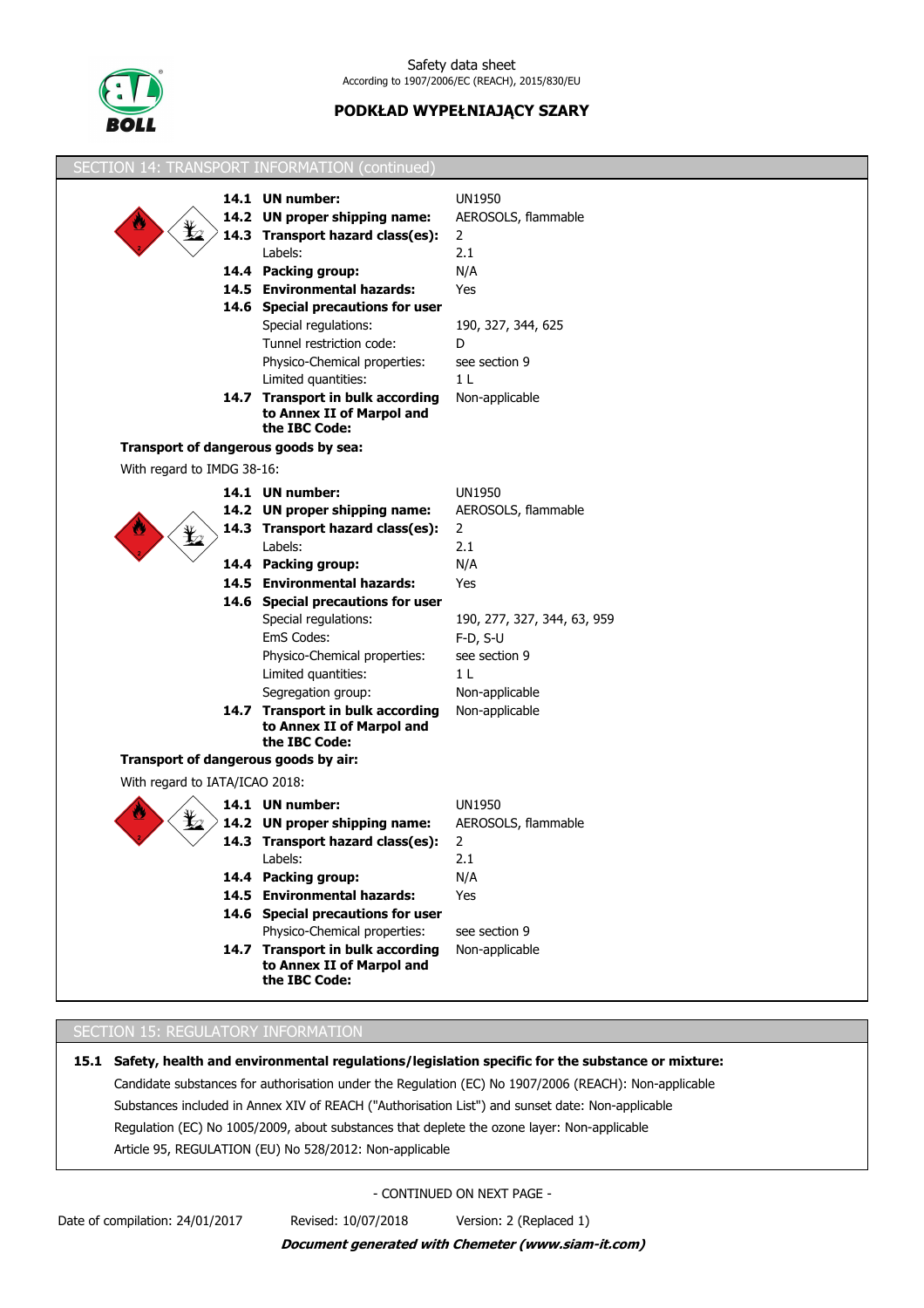

|                                      | <b>SECTION 14: TRANSPORT INFORMATION (continued)</b>              |                                      |
|--------------------------------------|-------------------------------------------------------------------|--------------------------------------|
|                                      | 14.1 UN number:                                                   | <b>UN1950</b>                        |
|                                      | 14.2 UN proper shipping name:                                     | AEROSOLS, flammable                  |
|                                      | 14.3 Transport hazard class(es):                                  | $\overline{2}$                       |
|                                      | Labels:                                                           | 2.1                                  |
|                                      | 14.4 Packing group:                                               | N/A                                  |
|                                      | 14.5 Environmental hazards:                                       | Yes                                  |
|                                      | 14.6 Special precautions for user                                 |                                      |
|                                      | Special regulations:                                              | 190, 327, 344, 625                   |
|                                      | Tunnel restriction code:                                          | D                                    |
|                                      | Physico-Chemical properties:                                      | see section 9                        |
|                                      | Limited quantities:                                               | 1 <sub>L</sub>                       |
|                                      | 14.7 Transport in bulk according                                  | Non-applicable                       |
|                                      | to Annex II of Marpol and<br>the IBC Code:                        |                                      |
| Transport of dangerous goods by sea: |                                                                   |                                      |
| With regard to IMDG 38-16:           |                                                                   |                                      |
|                                      | 14.1 UN number:                                                   | <b>UN1950</b>                        |
|                                      | 14.2 UN proper shipping name:                                     | AEROSOLS, flammable                  |
|                                      | 14.3 Transport hazard class(es):                                  | $\mathbf{2}$                         |
|                                      | Labels:                                                           | 2.1                                  |
|                                      | 14.4 Packing group:                                               | N/A                                  |
|                                      | 14.5 Environmental hazards:                                       | Yes                                  |
|                                      | 14.6 Special precautions for user                                 |                                      |
|                                      | Special regulations:                                              | 190, 277, 327, 344, 63, 959          |
|                                      | EmS Codes:                                                        | $F-D, S-U$                           |
|                                      | Physico-Chemical properties:                                      | see section 9                        |
|                                      | Limited quantities:                                               | 1 <sub>L</sub>                       |
|                                      | Segregation group:                                                | Non-applicable                       |
|                                      | 14.7 Transport in bulk according                                  | Non-applicable                       |
|                                      | to Annex II of Marpol and                                         |                                      |
| Transport of dangerous goods by air: | the IBC Code:                                                     |                                      |
| With regard to IATA/ICAO 2018:       |                                                                   |                                      |
|                                      |                                                                   |                                      |
|                                      | 14.1 UN number:                                                   | <b>UN1950</b><br>AEROSOLS, flammable |
|                                      | 14.2 UN proper shipping name:<br>14.3 Transport hazard class(es): | $\overline{2}$                       |
|                                      | Labels:                                                           | 2.1                                  |
|                                      | 14.4 Packing group:                                               | N/A                                  |
|                                      | 14.5 Environmental hazards:                                       | Yes                                  |
|                                      | 14.6 Special precautions for user                                 |                                      |
|                                      | Physico-Chemical properties:                                      | see section 9                        |
|                                      | 14.7 Transport in bulk according                                  | Non-applicable                       |
|                                      | to Annex II of Marpol and                                         |                                      |
|                                      | the IBC Code:                                                     |                                      |

# SECTION 15: REGULATORY INFORMATION

**15.1 Safety, health and environmental regulations/legislation specific for the substance or mixture:** Candidate substances for authorisation under the Regulation (EC) No 1907/2006 (REACH): Non-applicable Substances included in Annex XIV of REACH ("Authorisation List") and sunset date: Non-applicable Regulation (EC) No 1005/2009, about substances that deplete the ozone layer: Non-applicable Article 95, REGULATION (EU) No 528/2012: Non-applicable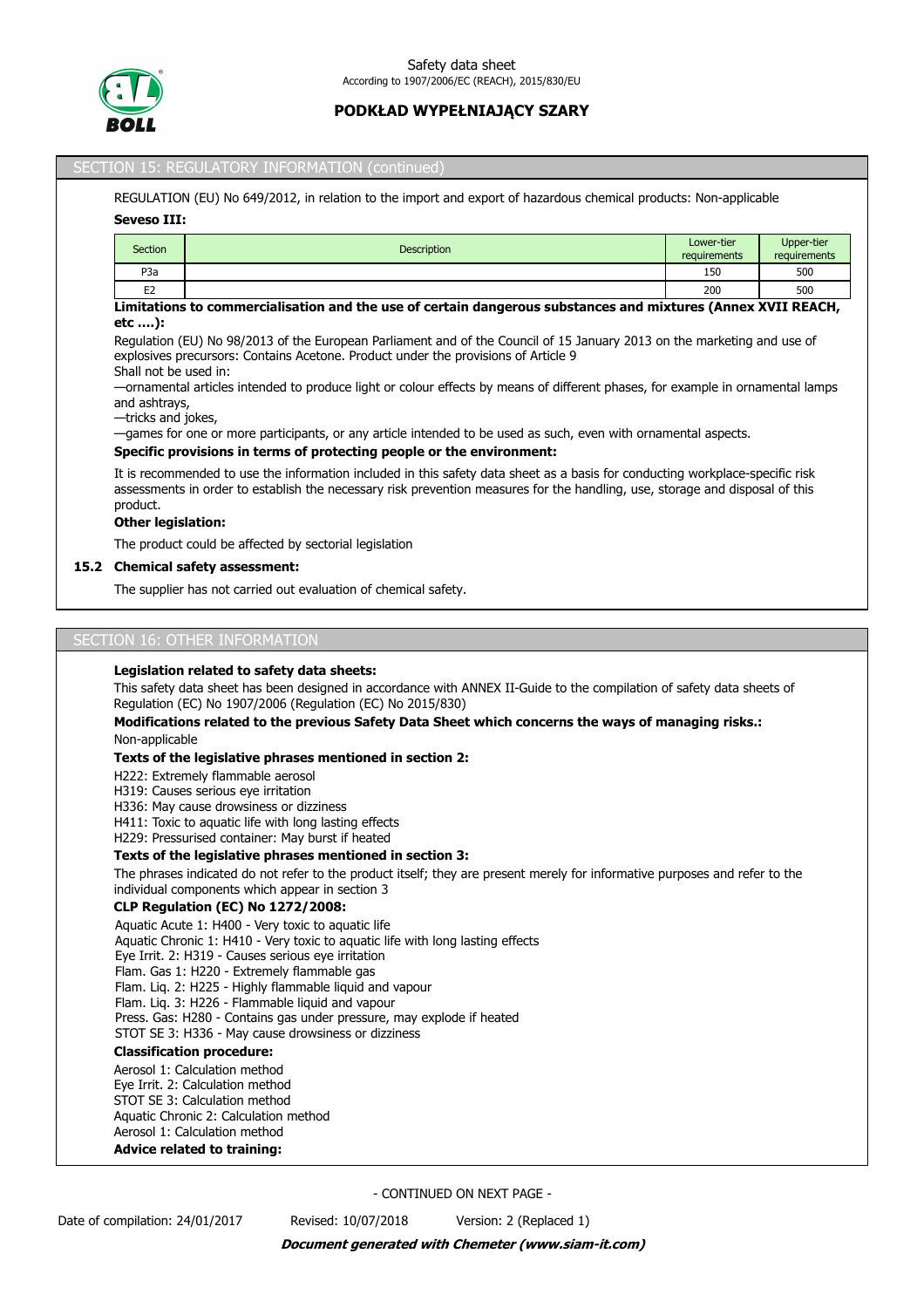

#### SECTION 15: REGULATORY INFORMATION (continued)

REGULATION (EU) No 649/2012, in relation to the import and export of hazardous chemical products: Non-applicable

#### **Seveso III:**

| Section                                                                                                                                                 | <b>Description</b> | Lower-tier<br>requirements | Upper-tier<br>requirements |
|---------------------------------------------------------------------------------------------------------------------------------------------------------|--------------------|----------------------------|----------------------------|
| P <sub>3</sub> a                                                                                                                                        |                    | 150                        | 500                        |
| E <sub>2</sub>                                                                                                                                          |                    | 200                        | 500                        |
| the formal contract of the contract of the con-<br>المتمالي والمتحاول والمتواطن والمتحاول والمتعارض والمتحاول والمتحال والمتحال والمتحاولات والمتحاولات |                    |                            |                            |

#### **Limitations to commercialisation and the use of certain dangerous substances and mixtures (Annex XVII REACH, etc ….):**

Regulation (EU) No 98/2013 of the European Parliament and of the Council of 15 January 2013 on the marketing and use of explosives precursors: Contains Acetone. Product under the provisions of Article 9

# Shall not be used in:

—ornamental articles intended to produce light or colour effects by means of different phases, for example in ornamental lamps and ashtrays,

—tricks and jokes,

—games for one or more participants, or any article intended to be used as such, even with ornamental aspects.

#### **Specific provisions in terms of protecting people or the environment:**

It is recommended to use the information included in this safety data sheet as a basis for conducting workplace-specific risk assessments in order to establish the necessary risk prevention measures for the handling, use, storage and disposal of this product.

## **Other legislation:**

The product could be affected by sectorial legislation

#### **15.2 Chemical safety assessment:**

The supplier has not carried out evaluation of chemical safety.

#### SECTION 16: OTHER INFORMATION

#### **Legislation related to safety data sheets:**

This safety data sheet has been designed in accordance with ANNEX II-Guide to the compilation of safety data sheets of Regulation (EC) No 1907/2006 (Regulation (EC) No 2015/830)

#### **Modifications related to the previous Safety Data Sheet which concerns the ways of managing risks.:** Non-applicable

#### **Texts of the legislative phrases mentioned in section 2:**

H222: Extremely flammable aerosol

H319: Causes serious eye irritation

H336: May cause drowsiness or dizziness

H411: Toxic to aquatic life with long lasting effects

H229: Pressurised container: May burst if heated

## **Texts of the legislative phrases mentioned in section 3:**

The phrases indicated do not refer to the product itself; they are present merely for informative purposes and refer to the individual components which appear in section 3

#### **CLP Regulation (EC) No 1272/2008:**

Aquatic Acute 1: H400 - Very toxic to aquatic life

Aquatic Chronic 1: H410 - Very toxic to aquatic life with long lasting effects

Eye Irrit. 2: H319 - Causes serious eye irritation

Flam. Gas 1: H220 - Extremely flammable gas

Flam. Liq. 2: H225 - Highly flammable liquid and vapour

Flam. Liq. 3: H226 - Flammable liquid and vapour

Press. Gas: H280 - Contains gas under pressure, may explode if heated

STOT SE 3: H336 - May cause drowsiness or dizziness

# **Classification procedure:**

Aerosol 1: Calculation method Eye Irrit. 2: Calculation method STOT SE 3: Calculation method Aquatic Chronic 2: Calculation method Aerosol 1: Calculation method **Advice related to training:**

- CONTINUED ON NEXT PAGE -

Date of compilation: 24/01/2017 Revised: 10/07/2018 Version: 2 (Replaced 1)